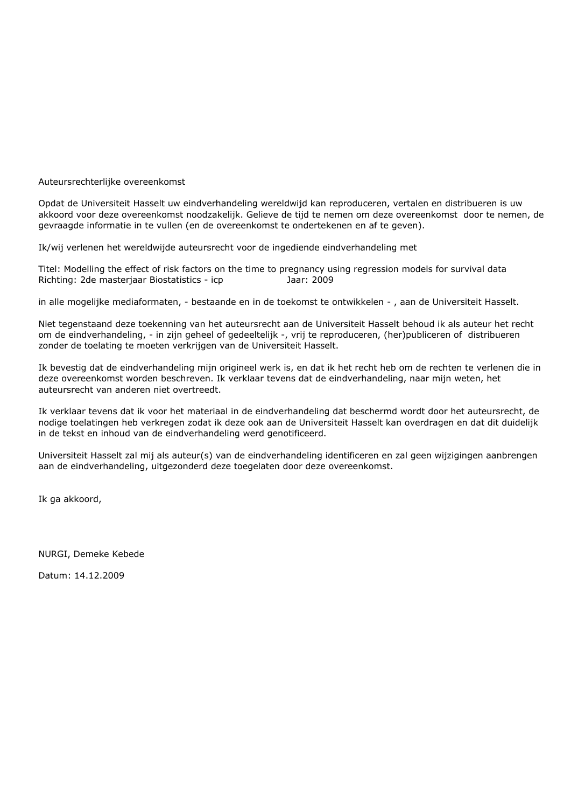Auteursrechterlijke overeenkomst

Opdat de Universiteit Hasselt uw eindverhandeling wereldwijd kan reproduceren, vertalen en distribueren is uw akkoord voor deze overeenkomst noodzakelijk. Gelieve de tijd te nemen om deze overeenkomst door te nemen, de gevraagde informatie in te vullen (en de overeenkomst te ondertekenen en af te geven).

Ik/wij verlenen het wereldwijde auteursrecht voor de ingediende eindverhandeling met

Titel: Modelling the effect of risk factors on the time to pregnancy using regression models for survival data Richting: 2de masterjaar Biostatistics - icp Jaar: 2009

in alle mogelijke mediaformaten, - bestaande en in de toekomst te ontwikkelen - , aan de Universiteit Hasselt.

Niet tegenstaand deze toekenning van het auteursrecht aan de Universiteit Hasselt behoud ik als auteur het recht om de eindverhandeling, - in zijn geheel of gedeeltelijk -, vrij te reproduceren, (her)publiceren of distribueren zonder de toelating te moeten verkrijgen van de Universiteit Hasselt.

Ik bevestig dat de eindverhandeling mijn origineel werk is, en dat ik het recht heb om de rechten te verlenen die in deze overeenkomst worden beschreven. Ik verklaar tevens dat de eindverhandeling, naar mijn weten, het auteursrecht van anderen niet overtreedt.

Ik verklaar tevens dat ik voor het materiaal in de eindverhandeling dat beschermd wordt door het auteursrecht, de nodige toelatingen heb verkregen zodat ik deze ook aan de Universiteit Hasselt kan overdragen en dat dit duidelijk in de tekst en inhoud van de eindverhandeling werd genotificeerd.

Universiteit Hasselt zal mij als auteur(s) van de eindverhandeling identificeren en zal geen wijzigingen aanbrengen aan de eindverhandeling, uitgezonderd deze toegelaten door deze overeenkomst.

Ik ga akkoord,

NURGI, Demeke Kebede

Datum: 14.12.2009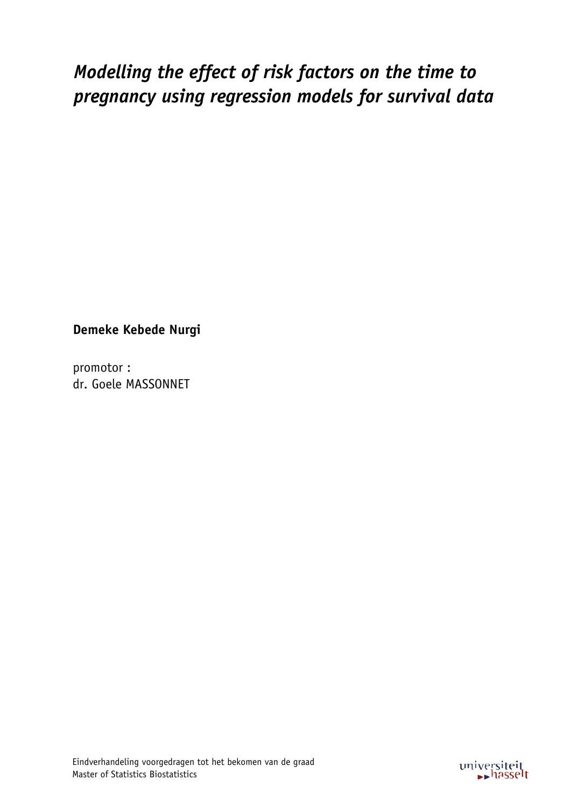# *Modelling the effect of risk factors on the time to* pregnancy using regression models for survival data

**Demeke Kebede Nurgi** 

promotor: dr. Goele MASSONNET

Eindverhandeling voorgedragen tot het bekomen van de graad Master of Statistics Biostatistics

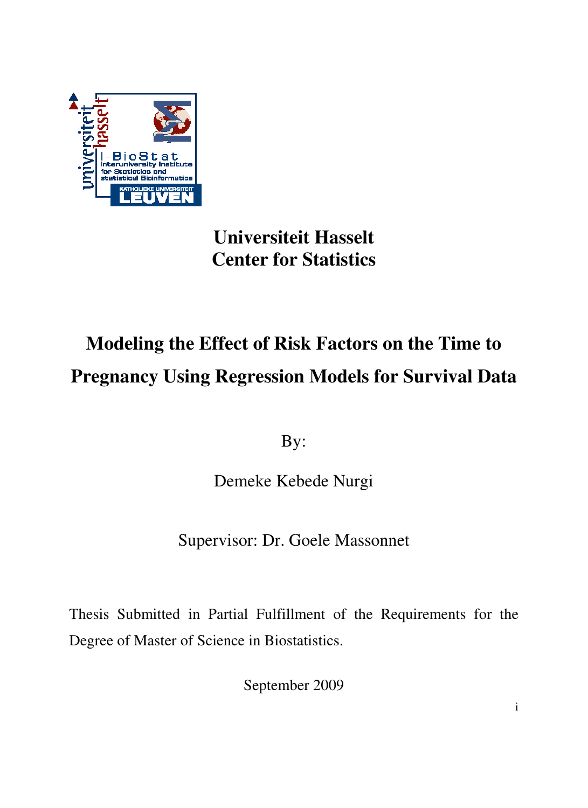

## **Universiteit Hasselt Center for Statistics**

# **Modeling the Effect of Risk Factors on the Time to Pregnancy Using Regression Models for Survival Data**

By:

Demeke Kebede Nurgi

Supervisor: Dr. Goele Massonnet

Thesis Submitted in Partial Fulfillment of the Requirements for the Degree of Master of Science in Biostatistics.

September 2009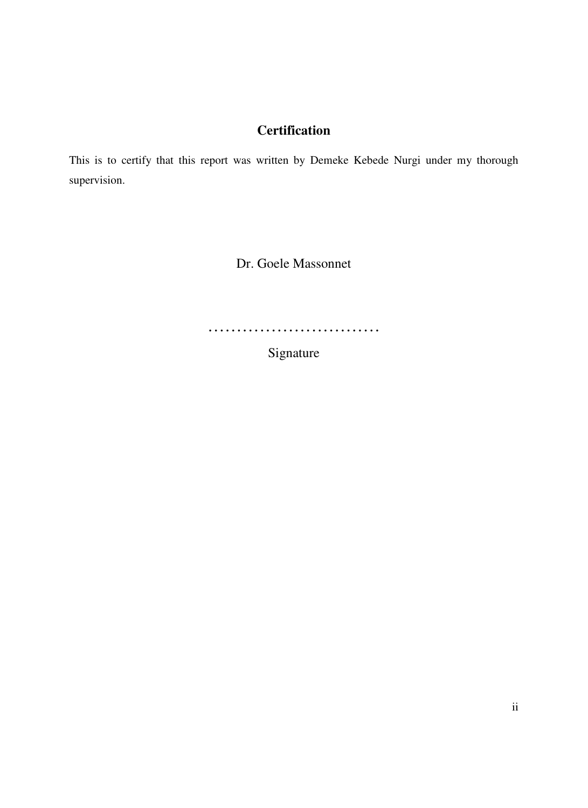## **Certification**

This is to certify that this report was written by Demeke Kebede Nurgi under my thorough supervision.

Dr. Goele Massonnet

…………………………………

Signature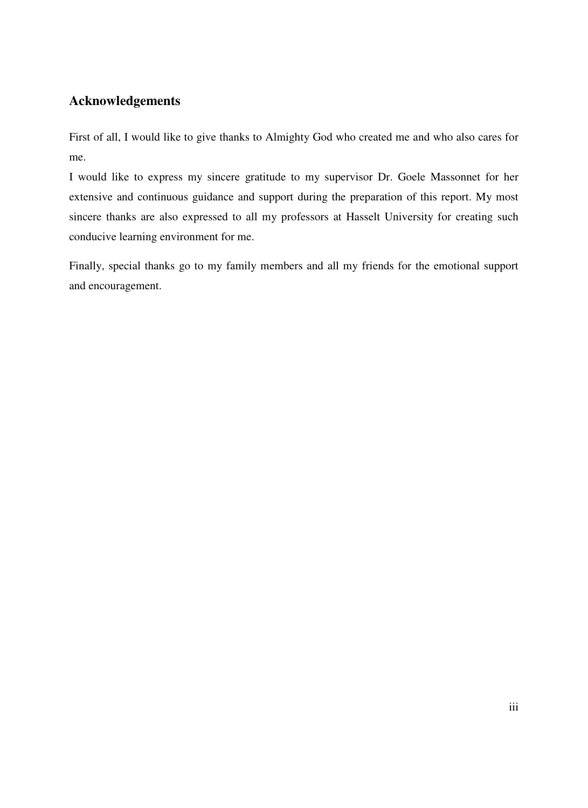## **Acknowledgements**

First of all, I would like to give thanks to Almighty God who created me and who also cares for me.

I would like to express my sincere gratitude to my supervisor Dr. Goele Massonnet for her extensive and continuous guidance and support during the preparation of this report. My most sincere thanks are also expressed to all my professors at Hasselt University for creating such conducive learning environment for me.

Finally, special thanks go to my family members and all my friends for the emotional support and encouragement.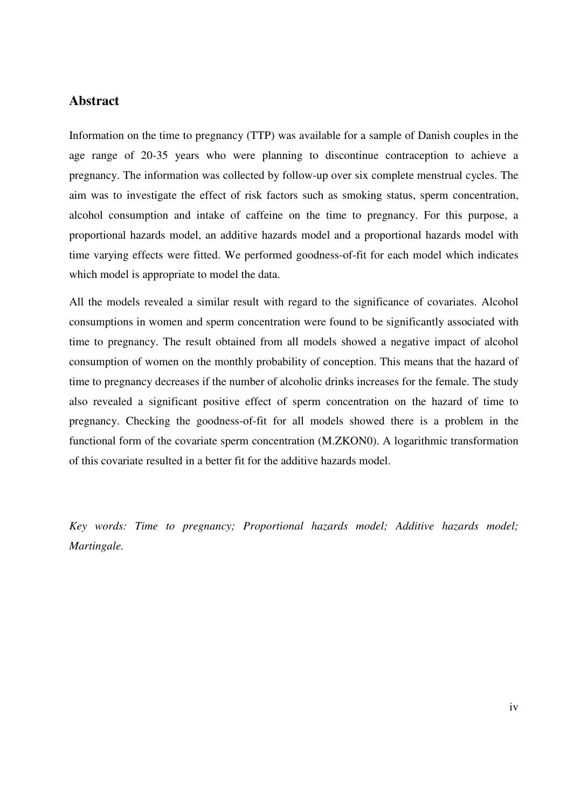#### **Abstract**

Information on the time to pregnancy (TTP) was available for a sample of Danish couples in the age range of 20-35 years who were planning to discontinue contraception to achieve a pregnancy. The information was collected by follow-up over six complete menstrual cycles. The aim was to investigate the effect of risk factors such as smoking status, sperm concentration, alcohol consumption and intake of caffeine on the time to pregnancy. For this purpose, a proportional hazards model, an additive hazards model and a proportional hazards model with time varying effects were fitted. We performed goodness-of-fit for each model which indicates which model is appropriate to model the data.

All the models revealed a similar result with regard to the significance of covariates. Alcohol consumptions in women and sperm concentration were found to be significantly associated with time to pregnancy. The result obtained from all models showed a negative impact of alcohol consumption of women on the monthly probability of conception. This means that the hazard of time to pregnancy decreases if the number of alcoholic drinks increases for the female. The study also revealed a significant positive effect of sperm concentration on the hazard of time to pregnancy. Checking the goodness-of-fit for all models showed there is a problem in the functional form of the covariate sperm concentration (M.ZKON0). A logarithmic transformation of this covariate resulted in a better fit for the additive hazards model.

*Key words: Time to pregnancy; Proportional hazards model; Additive hazards model; Martingale.*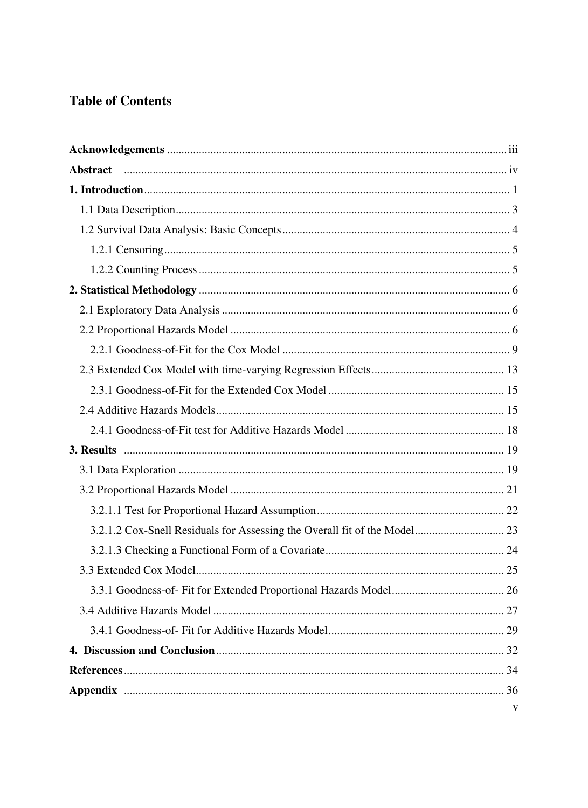## **Table of Contents**

| <b>Abstract</b> |   |
|-----------------|---|
|                 |   |
|                 |   |
|                 |   |
|                 |   |
|                 |   |
|                 |   |
|                 |   |
|                 |   |
|                 |   |
|                 |   |
|                 |   |
|                 |   |
|                 |   |
|                 |   |
|                 |   |
|                 |   |
|                 |   |
|                 |   |
|                 |   |
|                 |   |
|                 |   |
|                 |   |
|                 |   |
|                 |   |
|                 |   |
|                 |   |
|                 | V |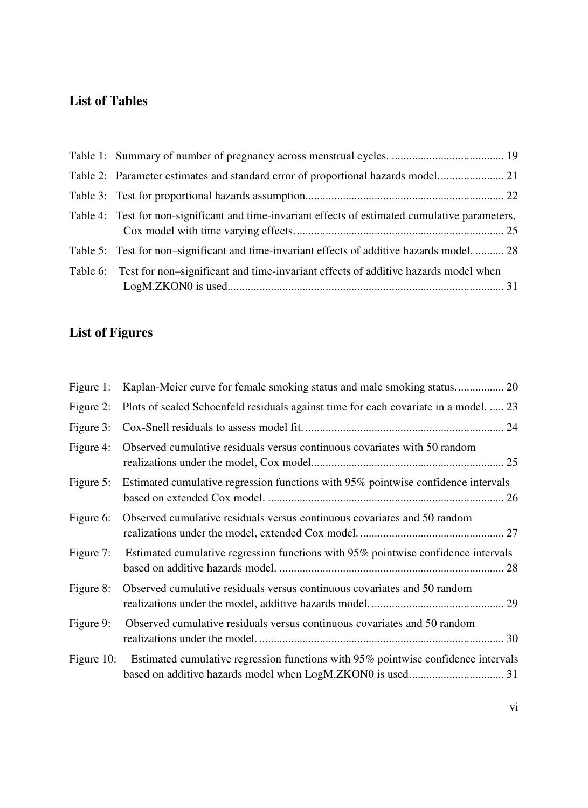## **List of Tables**

| Table 4: Test for non-significant and time-invariant effects of estimated cumulative parameters, |
|--------------------------------------------------------------------------------------------------|
| Table 5: Test for non-significant and time-invariant effects of additive hazards model.  28      |
| Table 6: Test for non-significant and time-invariant effects of additive hazards model when      |

## **List of Figures**

| Figure 1: |                                                                                              |
|-----------|----------------------------------------------------------------------------------------------|
| Figure 2: | Plots of scaled Schoenfeld residuals against time for each covariate in a model.  23         |
| Figure 3: |                                                                                              |
| Figure 4: | Observed cumulative residuals versus continuous covariates with 50 random                    |
| Figure 5: | Estimated cumulative regression functions with 95% pointwise confidence intervals            |
| Figure 6: | Observed cumulative residuals versus continuous covariates and 50 random                     |
| Figure 7: | Estimated cumulative regression functions with 95% pointwise confidence intervals            |
| Figure 8: | Observed cumulative residuals versus continuous covariates and 50 random                     |
| Figure 9: | Observed cumulative residuals versus continuous covariates and 50 random                     |
|           | Figure 10: Estimated cumulative regression functions with 95% pointwise confidence intervals |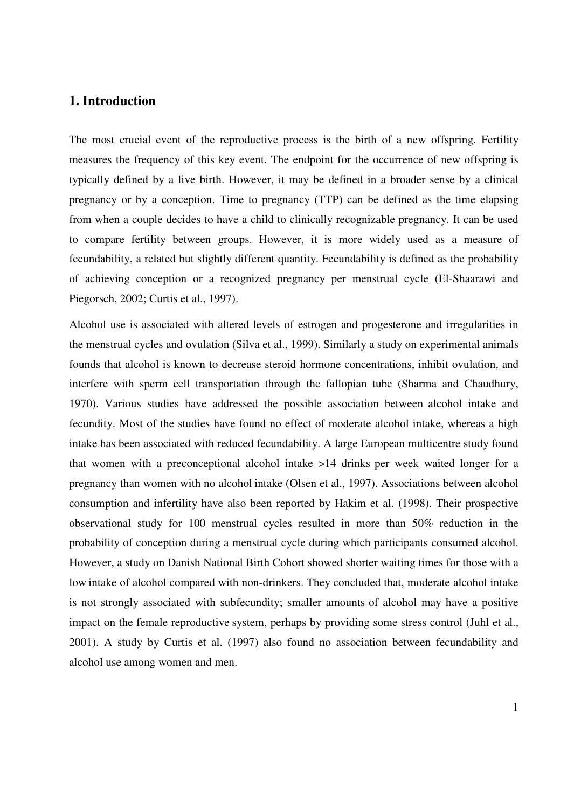#### **1. Introduction**

The most crucial event of the reproductive process is the birth of a new offspring. Fertility measures the frequency of this key event. The endpoint for the occurrence of new offspring is typically defined by a live birth. However, it may be defined in a broader sense by a clinical pregnancy or by a conception. Time to pregnancy (TTP) can be defined as the time elapsing from when a couple decides to have a child to clinically recognizable pregnancy. It can be used to compare fertility between groups. However, it is more widely used as a measure of fecundability, a related but slightly different quantity. Fecundability is defined as the probability of achieving conception or a recognized pregnancy per menstrual cycle (El-Shaarawi and Piegorsch, 2002; Curtis et al., 1997).

Alcohol use is associated with altered levels of estrogen and progesterone and irregularities in the menstrual cycles and ovulation (Silva et al., 1999). Similarly a study on experimental animals founds that alcohol is known to decrease steroid hormone concentrations, inhibit ovulation, and interfere with sperm cell transportation through the fallopian tube (Sharma and Chaudhury, 1970). Various studies have addressed the possible association between alcohol intake and fecundity. Most of the studies have found no effect of moderate alcohol intake, whereas a high intake has been associated with reduced fecundability. A large European multicentre study found that women with a preconceptional alcohol intake >14 drinks per week waited longer for a pregnancy than women with no alcohol intake (Olsen et al., 1997). Associations between alcohol consumption and infertility have also been reported by Hakim et al. (1998). Their prospective observational study for 100 menstrual cycles resulted in more than 50% reduction in the probability of conception during a menstrual cycle during which participants consumed alcohol. However, a study on Danish National Birth Cohort showed shorter waiting times for those with a low intake of alcohol compared with non-drinkers. They concluded that, moderate alcohol intake is not strongly associated with subfecundity; smaller amounts of alcohol may have a positive impact on the female reproductive system, perhaps by providing some stress control (Juhl et al., 2001). A study by Curtis et al. (1997) also found no association between fecundability and alcohol use among women and men.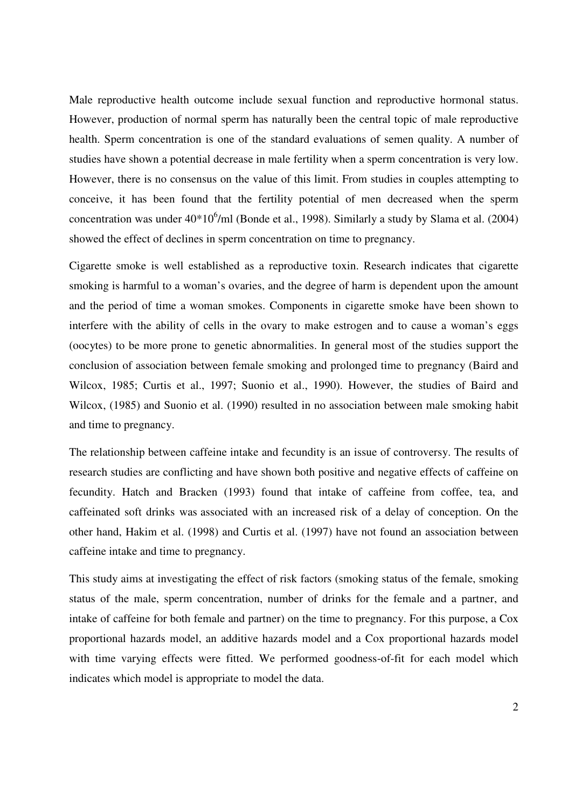Male reproductive health outcome include sexual function and reproductive hormonal status. However, production of normal sperm has naturally been the central topic of male reproductive health. Sperm concentration is one of the standard evaluations of semen quality. A number of studies have shown a potential decrease in male fertility when a sperm concentration is very low. However, there is no consensus on the value of this limit. From studies in couples attempting to conceive, it has been found that the fertility potential of men decreased when the sperm concentration was under  $40*10^6$ /ml (Bonde et al., 1998). Similarly a study by Slama et al. (2004) showed the effect of declines in sperm concentration on time to pregnancy.

Cigarette smoke is well established as a reproductive toxin. Research indicates that cigarette smoking is harmful to a woman's ovaries, and the degree of harm is dependent upon the amount and the period of time a woman smokes. Components in cigarette smoke have been shown to interfere with the ability of cells in the ovary to make estrogen and to cause a woman's eggs (oocytes) to be more prone to genetic abnormalities. In general most of the studies support the conclusion of association between female smoking and prolonged time to pregnancy (Baird and Wilcox, 1985; Curtis et al., 1997; Suonio et al., 1990). However, the studies of Baird and Wilcox, (1985) and Suonio et al. (1990) resulted in no association between male smoking habit and time to pregnancy.

The relationship between caffeine intake and fecundity is an issue of controversy. The results of research studies are conflicting and have shown both positive and negative effects of caffeine on fecundity. Hatch and Bracken (1993) found that intake of caffeine from coffee, tea, and caffeinated soft drinks was associated with an increased risk of a delay of conception. On the other hand, Hakim et al. (1998) and Curtis et al. (1997) have not found an association between caffeine intake and time to pregnancy.

This study aims at investigating the effect of risk factors (smoking status of the female, smoking status of the male, sperm concentration, number of drinks for the female and a partner, and intake of caffeine for both female and partner) on the time to pregnancy. For this purpose, a Cox proportional hazards model, an additive hazards model and a Cox proportional hazards model with time varying effects were fitted. We performed goodness-of-fit for each model which indicates which model is appropriate to model the data.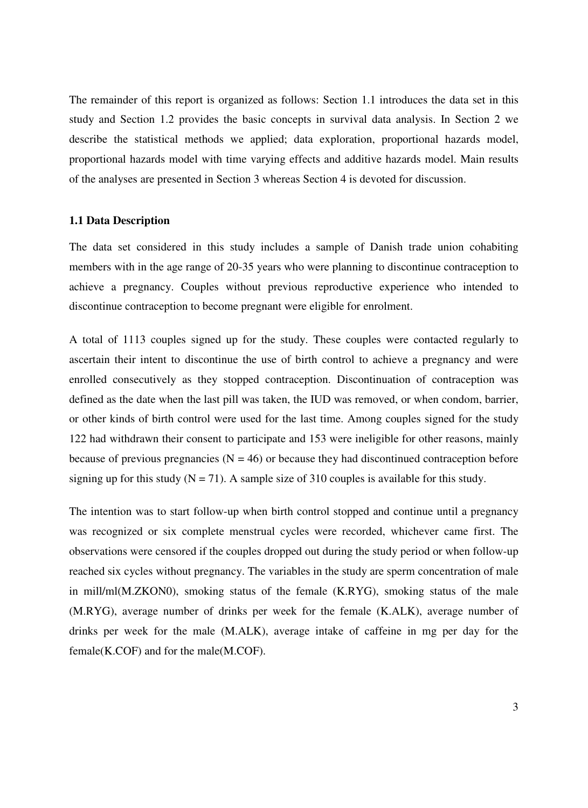The remainder of this report is organized as follows: Section 1.1 introduces the data set in this study and Section 1.2 provides the basic concepts in survival data analysis. In Section 2 we describe the statistical methods we applied; data exploration, proportional hazards model, proportional hazards model with time varying effects and additive hazards model. Main results of the analyses are presented in Section 3 whereas Section 4 is devoted for discussion.

#### **1.1 Data Description**

The data set considered in this study includes a sample of Danish trade union cohabiting members with in the age range of 20-35 years who were planning to discontinue contraception to achieve a pregnancy. Couples without previous reproductive experience who intended to discontinue contraception to become pregnant were eligible for enrolment.

A total of 1113 couples signed up for the study. These couples were contacted regularly to ascertain their intent to discontinue the use of birth control to achieve a pregnancy and were enrolled consecutively as they stopped contraception. Discontinuation of contraception was defined as the date when the last pill was taken, the IUD was removed, or when condom, barrier, or other kinds of birth control were used for the last time. Among couples signed for the study 122 had withdrawn their consent to participate and 153 were ineligible for other reasons, mainly because of previous pregnancies ( $N = 46$ ) or because they had discontinued contraception before signing up for this study ( $N = 71$ ). A sample size of 310 couples is available for this study.

The intention was to start follow-up when birth control stopped and continue until a pregnancy was recognized or six complete menstrual cycles were recorded, whichever came first. The observations were censored if the couples dropped out during the study period or when follow-up reached six cycles without pregnancy. The variables in the study are sperm concentration of male in mill/ml(M.ZKON0), smoking status of the female (K.RYG), smoking status of the male (M.RYG), average number of drinks per week for the female (K.ALK), average number of drinks per week for the male (M.ALK), average intake of caffeine in mg per day for the female(K.COF) and for the male(M.COF).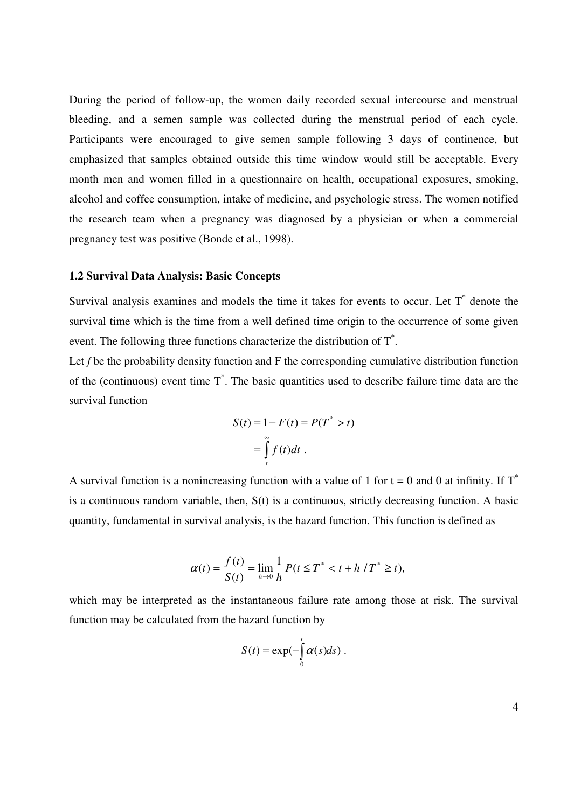During the period of follow-up, the women daily recorded sexual intercourse and menstrual bleeding, and a semen sample was collected during the menstrual period of each cycle. Participants were encouraged to give semen sample following 3 days of continence, but emphasized that samples obtained outside this time window would still be acceptable. Every month men and women filled in a questionnaire on health, occupational exposures, smoking, alcohol and coffee consumption, intake of medicine, and psychologic stress. The women notified the research team when a pregnancy was diagnosed by a physician or when a commercial pregnancy test was positive (Bonde et al., 1998).

#### **1.2 Survival Data Analysis: Basic Concepts**

Survival analysis examines and models the time it takes for events to occur. Let  $T^*$  denote the survival time which is the time from a well defined time origin to the occurrence of some given event. The following three functions characterize the distribution of  $T^*$ .

Let f be the probability density function and F the corresponding cumulative distribution function of the (continuous) event time  $T^*$ . The basic quantities used to describe failure time data are the survival function

$$
S(t) = 1 - F(t) = P(T^* > t)
$$

$$
= \int_{t}^{\infty} f(t)dt.
$$

A survival function is a nonincreasing function with a value of 1 for  $t = 0$  and 0 at infinity. If  $T^*$ is a continuous random variable, then, S(t) is a continuous, strictly decreasing function. A basic quantity, fundamental in survival analysis, is the hazard function. This function is defined as

$$
\alpha(t) = \frac{f(t)}{S(t)} = \lim_{h \to 0} \frac{1}{h} P(t \le T^* < t + h / T^* \ge t),
$$

which may be interpreted as the instantaneous failure rate among those at risk. The survival function may be calculated from the hazard function by

$$
S(t) = \exp(-\int_0^t \alpha(s)ds).
$$

4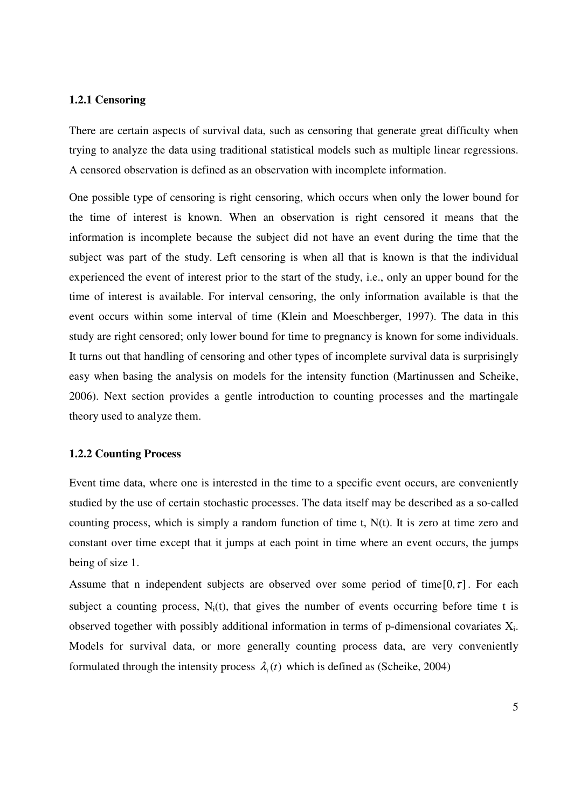#### **1.2.1 Censoring**

There are certain aspects of survival data, such as censoring that generate great difficulty when trying to analyze the data using traditional statistical models such as multiple linear regressions. A censored observation is defined as an observation with incomplete information.

One possible type of censoring is right censoring, which occurs when only the lower bound for the time of interest is known. When an observation is right censored it means that the information is incomplete because the subject did not have an event during the time that the subject was part of the study. Left censoring is when all that is known is that the individual experienced the event of interest prior to the start of the study, i.e., only an upper bound for the time of interest is available. For interval censoring, the only information available is that the event occurs within some interval of time (Klein and Moeschberger, 1997). The data in this study are right censored; only lower bound for time to pregnancy is known for some individuals. It turns out that handling of censoring and other types of incomplete survival data is surprisingly easy when basing the analysis on models for the intensity function (Martinussen and Scheike, 2006). Next section provides a gentle introduction to counting processes and the martingale theory used to analyze them.

#### **1.2.2 Counting Process**

Event time data, where one is interested in the time to a specific event occurs, are conveniently studied by the use of certain stochastic processes. The data itself may be described as a so-called counting process, which is simply a random function of time t,  $N(t)$ . It is zero at time zero and constant over time except that it jumps at each point in time where an event occurs, the jumps being of size 1.

Assume that n independent subjects are observed over some period of time  $[0, \tau]$ . For each subject a counting process,  $N_i(t)$ , that gives the number of events occurring before time t is observed together with possibly additional information in terms of p-dimensional covariates  $X_i$ . Models for survival data, or more generally counting process data, are very conveniently formulated through the intensity process  $\lambda_i(t)$  which is defined as (Scheike, 2004)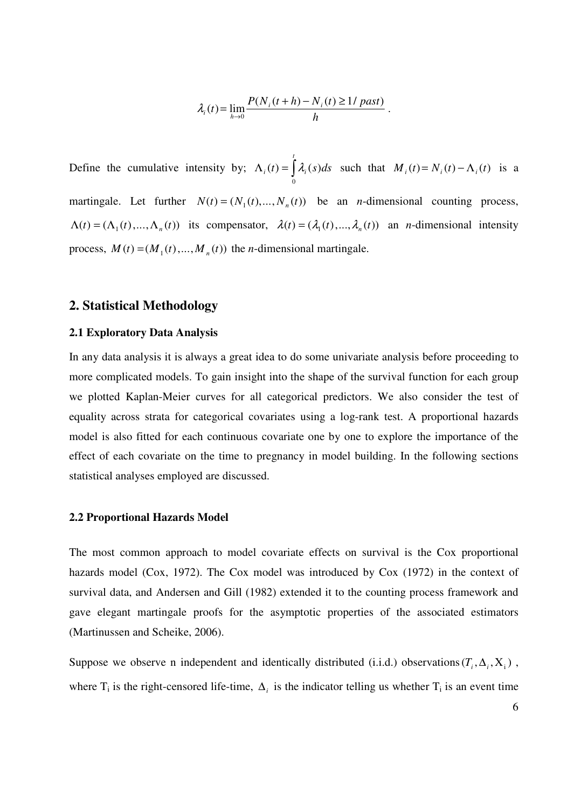$$
\lambda_i(t) = \lim_{h \to 0} \frac{P(N_i(t+h) - N_i(t) \ge 1/\text{ past})}{h}
$$

.

Define the cumulative intensity by;  $\Lambda_i(t) = \int$ *t*  $\lambda_i(t) = \frac{\lambda_i(s)}{ds}$  $\mathbf{0}$  $(t) = \frac{\lambda_i(s)}{ds}$  such that  $M_i(t) = N_i(t) - \Lambda_i(t)$  is a martingale. Let further  $N(t) = (N_1(t), ..., N_n(t))$  be an *n*-dimensional counting process,  $\Lambda(t) = (\Lambda_1(t), ..., \Lambda_n(t))$  its compensator,  $\lambda(t) = (\lambda_1(t), ..., \lambda_n(t))$  an *n*-dimensional intensity process,  $M(t) = (M_1(t),...,M_n(t))$  the *n*-dimensional martingale.

#### **2. Statistical Methodology**

#### **2.1 Exploratory Data Analysis**

In any data analysis it is always a great idea to do some univariate analysis before proceeding to more complicated models. To gain insight into the shape of the survival function for each group we plotted Kaplan-Meier curves for all categorical predictors. We also consider the test of equality across strata for categorical covariates using a log-rank test. A proportional hazards model is also fitted for each continuous covariate one by one to explore the importance of the effect of each covariate on the time to pregnancy in model building. In the following sections statistical analyses employed are discussed.

#### **2.2 Proportional Hazards Model**

The most common approach to model covariate effects on survival is the Cox proportional hazards model (Cox, 1972). The Cox model was introduced by Cox (1972) in the context of survival data, and Andersen and Gill (1982) extended it to the counting process framework and gave elegant martingale proofs for the asymptotic properties of the associated estimators (Martinussen and Scheike, 2006).

Suppose we observe n independent and identically distributed (i.i.d.) observations  $(T_i, \Delta_i, X_i)$ , where  $T_i$  is the right-censored life-time,  $\Delta_i$  is the indicator telling us whether  $T_i$  is an event time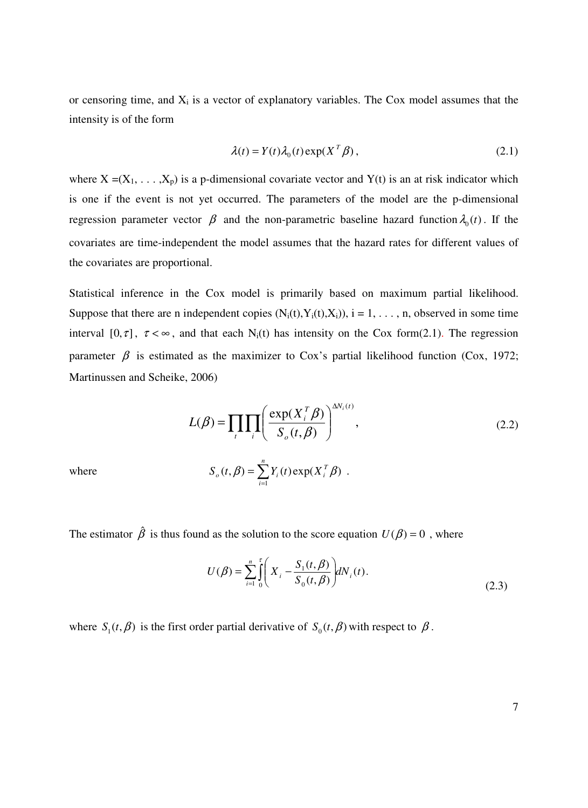or censoring time, and  $X_i$  is a vector of explanatory variables. The Cox model assumes that the intensity is of the form

$$
\lambda(t) = Y(t)\lambda_0(t) \exp(X^T \beta), \qquad (2.1)
$$

where  $X = (X_1, \ldots, X_p)$  is a p-dimensional covariate vector and Y(t) is an at risk indicator which is one if the event is not yet occurred. The parameters of the model are the p-dimensional regression parameter vector  $\beta$  and the non-parametric baseline hazard function  $\lambda_0(t)$ . If the covariates are time-independent the model assumes that the hazard rates for different values of the covariates are proportional.

Statistical inference in the Cox model is primarily based on maximum partial likelihood. Suppose that there are n independent copies  $(N_i(t), Y_i(t), X_i)$ ,  $i = 1, \ldots, n$ , observed in some time interval [0,  $\tau$ ],  $\tau < \infty$ , and that each N<sub>i</sub>(t) has intensity on the Cox form(2.1). The regression parameter  $\beta$  is estimated as the maximizer to Cox's partial likelihood function (Cox, 1972; Martinussen and Scheike, 2006)

$$
L(\beta) = \prod_{i} \prod_{i} \left( \frac{\exp(X_i^T \beta)}{S_o(t, \beta)} \right)^{\Delta N_i(t)},
$$
  
where  

$$
S_o(t, \beta) = \sum_{i}^{n} Y_i(t) \exp(X_i^T \beta).
$$
 (2.2)

The estimator  $\hat{\beta}$  is thus found as the solution to the score equation  $U(\beta) = 0$ , where

1

=

*i*

$$
U(\beta) = \sum_{i=1}^{n} \int_{0}^{\tau} \left( X_i - \frac{S_1(t, \beta)}{S_0(t, \beta)} \right) dN_i(t).
$$
 (2.3)

where  $S_1(t, \beta)$  is the first order partial derivative of  $S_0(t, \beta)$  with respect to  $\beta$ .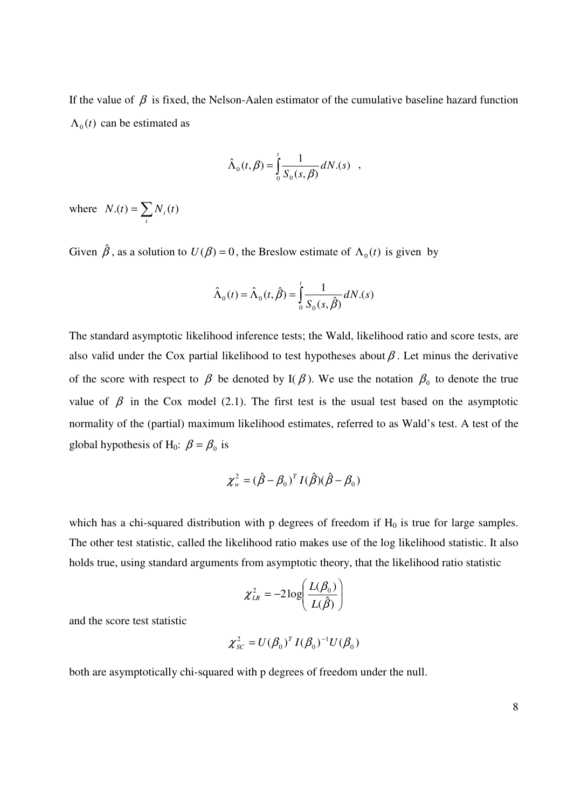If the value of  $\beta$  is fixed, the Nelson-Aalen estimator of the cumulative baseline hazard function  $\Lambda_0(t)$  can be estimated as

$$
\hat{\Lambda}_0(t,\beta) = \int_0^t \frac{1}{S_0(s,\beta)} dN_0(s) ,
$$

where  $N.(t) = \sum$ *i*  $N(t) = \sum N_i(t)$ 

Given  $\hat{\beta}$ , as a solution to  $U(\beta) = 0$ , the Breslow estimate of  $\Lambda_0(t)$  is given by

$$
\hat{\Lambda}_0(t) = \hat{\Lambda}_0(t, \hat{\beta}) = \int_0^t \frac{1}{S_0(s, \hat{\beta})} dN.(s)
$$

The standard asymptotic likelihood inference tests; the Wald, likelihood ratio and score tests, are also valid under the Cox partial likelihood to test hypotheses about  $\beta$ . Let minus the derivative of the score with respect to  $\beta$  be denoted by I( $\beta$ ). We use the notation  $\beta_0$  to denote the true value of  $\beta$  in the Cox model (2.1). The first test is the usual test based on the asymptotic normality of the (partial) maximum likelihood estimates, referred to as Wald's test. A test of the global hypothesis of H<sub>0</sub>:  $\beta = \beta_0$  is

$$
\chi_w^2 = (\hat{\beta} - \beta_0)^T I(\hat{\beta})(\hat{\beta} - \beta_0)
$$

which has a chi-squared distribution with  $p$  degrees of freedom if  $H_0$  is true for large samples. The other test statistic, called the likelihood ratio makes use of the log likelihood statistic. It also holds true, using standard arguments from asymptotic theory, that the likelihood ratio statistic

$$
\chi^2_{LR} = -2\log\left(\frac{L(\beta_0)}{L(\hat{\beta})}\right)
$$

and the score test statistic

$$
\chi_{SC}^2 = U(\beta_0)^T I(\beta_0)^{-1} U(\beta_0)
$$

both are asymptotically chi-squared with p degrees of freedom under the null.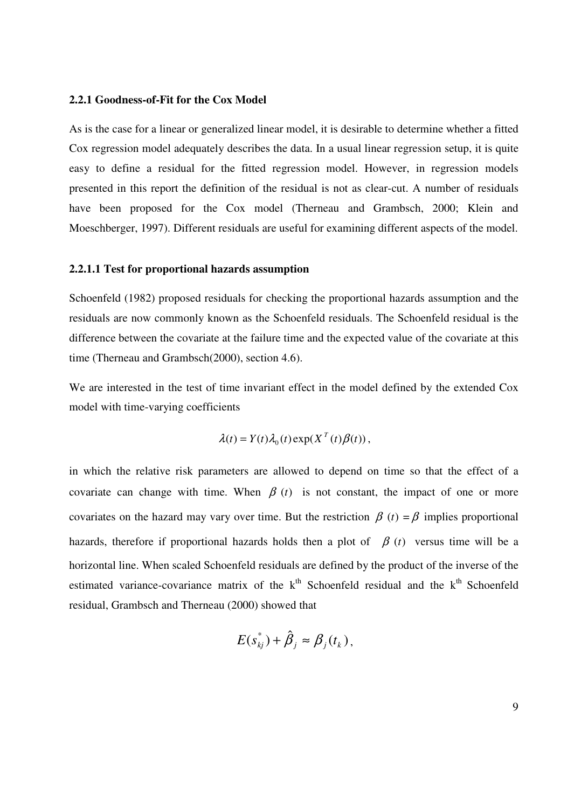#### **2.2.1 Goodness-of-Fit for the Cox Model**

As is the case for a linear or generalized linear model, it is desirable to determine whether a fitted Cox regression model adequately describes the data. In a usual linear regression setup, it is quite easy to define a residual for the fitted regression model. However, in regression models presented in this report the definition of the residual is not as clear-cut. A number of residuals have been proposed for the Cox model (Therneau and Grambsch, 2000; Klein and Moeschberger, 1997). Different residuals are useful for examining different aspects of the model.

#### **2.2.1.1 Test for proportional hazards assumption**

Schoenfeld (1982) proposed residuals for checking the proportional hazards assumption and the residuals are now commonly known as the Schoenfeld residuals. The Schoenfeld residual is the difference between the covariate at the failure time and the expected value of the covariate at this time (Therneau and Grambsch(2000), section 4.6).

We are interested in the test of time invariant effect in the model defined by the extended Cox model with time-varying coefficients

$$
\lambda(t) = Y(t)\lambda_0(t) \exp(X^T(t)\beta(t)),
$$

in which the relative risk parameters are allowed to depend on time so that the effect of a covariate can change with time. When  $\beta(t)$  is not constant, the impact of one or more covariates on the hazard may vary over time. But the restriction  $\beta$  (*t*) =  $\beta$  implies proportional hazards, therefore if proportional hazards holds then a plot of  $\beta(t)$  versus time will be a horizontal line. When scaled Schoenfeld residuals are defined by the product of the inverse of the estimated variance-covariance matrix of the  $k<sup>th</sup>$  Schoenfeld residual and the  $k<sup>th</sup>$  Schoenfeld residual, Grambsch and Therneau (2000) showed that

$$
E(s_{kj}^*)+\hat{\beta}_j\approx\beta_j(t_k),
$$

9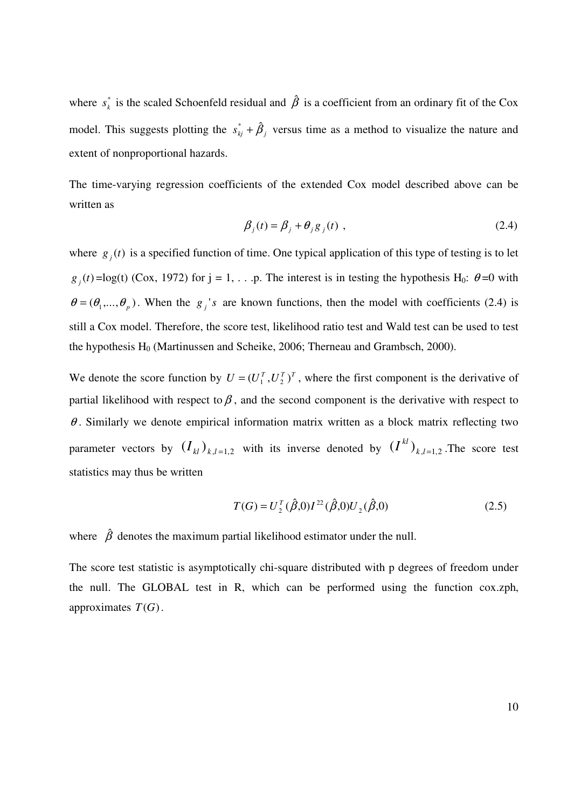where  $s_k^*$  is the scaled Schoenfeld residual and  $\hat{\beta}$  is a coefficient from an ordinary fit of the Cox model. This suggests plotting the  $s_{kj}^* + \hat{\beta}_j$  versus time as a method to visualize the nature and extent of nonproportional hazards.

The time-varying regression coefficients of the extended Cox model described above can be written as

$$
\beta_j(t) = \beta_j + \theta_j g_j(t) , \qquad (2.4)
$$

where  $g_j(t)$  is a specified function of time. One typical application of this type of testing is to let  $g_j(t) = \log(t)$  (Cox, 1972) for  $j = 1, \ldots$ . The interest is in testing the hypothesis H<sub>0</sub>:  $\theta = 0$  with  $\theta = (\theta_1, \dots, \theta_p)$ . When the *g<sub>j</sub>*'s are known functions, then the model with coefficients (2.4) is still a Cox model. Therefore, the score test, likelihood ratio test and Wald test can be used to test the hypothesis  $H_0$  (Martinussen and Scheike, 2006; Therneau and Grambsch, 2000).

We denote the score function by  $U = (U_1^T, U_2^T)^T$ , where the first component is the derivative of partial likelihood with respect to  $\beta$ , and the second component is the derivative with respect to  $\theta$ . Similarly we denote empirical information matrix written as a block matrix reflecting two parameter vectors by  $(I_{kl})_{k,l=1,2}$  with its inverse denoted by  $(I^{kl})_{k,l=1,2}$ . The score test statistics may thus be written

$$
T(G) = U_2^T(\hat{\beta}, 0)I^{22}(\hat{\beta}, 0)U_2(\hat{\beta}, 0)
$$
\n(2.5)

where  $\hat{\beta}$  denotes the maximum partial likelihood estimator under the null.

The score test statistic is asymptotically chi-square distributed with p degrees of freedom under the null. The GLOBAL test in R, which can be performed using the function cox.zph, approximates  $T(G)$ .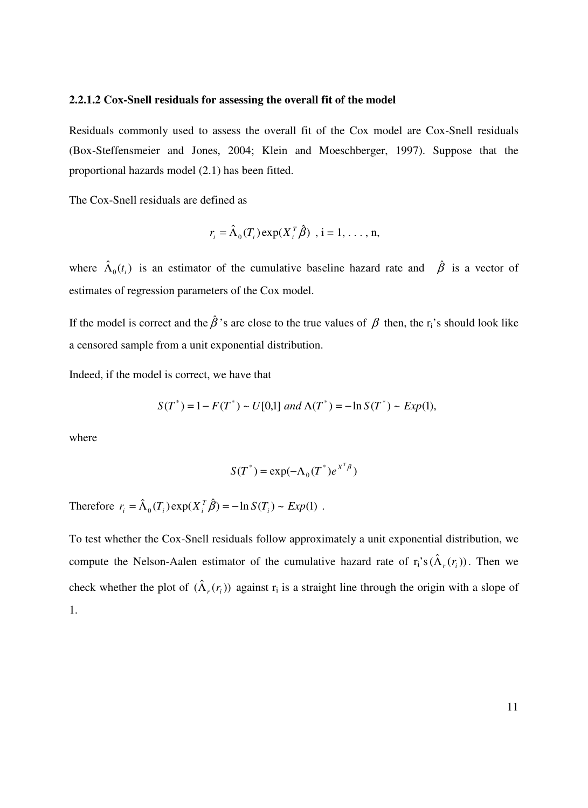#### **2.2.1.2 Cox-Snell residuals for assessing the overall fit of the model**

Residuals commonly used to assess the overall fit of the Cox model are Cox-Snell residuals (Box-Steffensmeier and Jones, 2004; Klein and Moeschberger, 1997). Suppose that the proportional hazards model (2.1) has been fitted.

The Cox-Snell residuals are defined as

$$
r_i = \hat{\Lambda}_0(T_i) \exp(X_i^T \hat{\beta}) \text{ , } i = 1, \dots, n,
$$

where  $\hat{\Lambda}_0(t_i)$  is an estimator of the cumulative baseline hazard rate and  $\hat{\beta}$  is a vector of estimates of regression parameters of the Cox model.

If the model is correct and the  $\hat{\beta}$ 's are close to the true values of  $\beta$  then, the r<sub>i</sub>'s should look like a censored sample from a unit exponential distribution.

Indeed, if the model is correct, we have that

$$
S(T^*) = 1 - F(T^*) \sim U[0,1] \text{ and } \Lambda(T^*) = -\ln S(T^*) \sim Exp(1),
$$

where

$$
S(T^*) = \exp(-\Lambda_0(T^*)e^{X^T\beta})
$$

Therefore  $r_i = \hat{\Lambda}_0(T_i) \exp(X_i^T \hat{\beta}) = -\ln S(T_i) \sim Exp(1)$ .

To test whether the Cox-Snell residuals follow approximately a unit exponential distribution, we compute the Nelson-Aalen estimator of the cumulative hazard rate of  $r_i$ 's  $(\hat{\Lambda}_r(r_i))$ . Then we check whether the plot of  $(\hat{\Lambda}_r(r_i))$  against  $r_i$  is a straight line through the origin with a slope of 1.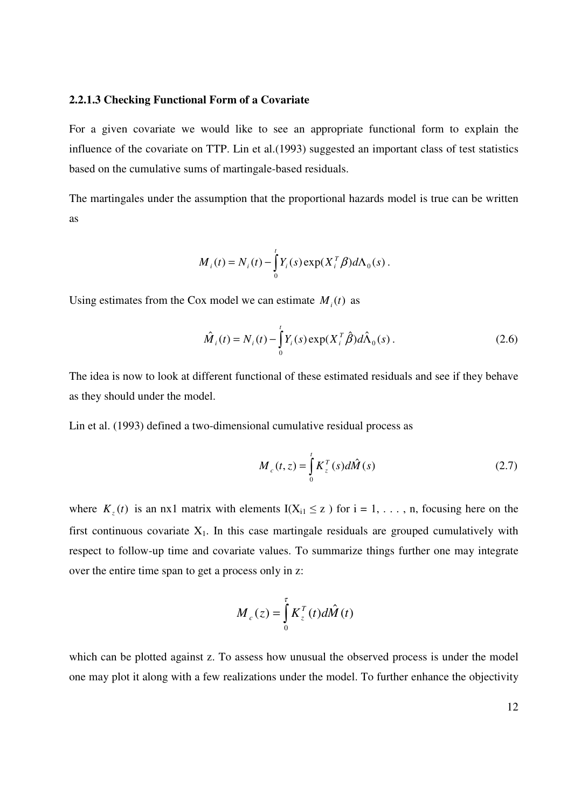#### **2.2.1.3 Checking Functional Form of a Covariate**

For a given covariate we would like to see an appropriate functional form to explain the influence of the covariate on TTP. Lin et al.(1993) suggested an important class of test statistics based on the cumulative sums of martingale-based residuals.

The martingales under the assumption that the proportional hazards model is true can be written as

$$
M_i(t) = N_i(t) - \int_0^t Y_i(s) \exp(X_i^T \beta) d\Lambda_0(s).
$$

Using estimates from the Cox model we can estimate  $M_i(t)$  as

$$
\hat{M}_i(t) = N_i(t) - \int_0^t Y_i(s) \exp(X_i^T \hat{\beta}) d\hat{\Lambda}_0(s) .
$$
\n(2.6)

The idea is now to look at different functional of these estimated residuals and see if they behave as they should under the model.

Lin et al. (1993) defined a two-dimensional cumulative residual process as

$$
M_c(t, z) = \int_0^t K_z^T(s) d\hat{M}(s)
$$
 (2.7)

where  $K_z(t)$  is an nx1 matrix with elements I( $X_{i1} \le z$ ) for  $i = 1, \ldots, n$ , focusing here on the first continuous covariate  $X_1$ . In this case martingale residuals are grouped cumulatively with respect to follow-up time and covariate values. To summarize things further one may integrate over the entire time span to get a process only in z:

$$
M_c(z) = \int_0^{\tau} K_z^T(t) d\hat{M}(t)
$$

which can be plotted against z. To assess how unusual the observed process is under the model one may plot it along with a few realizations under the model. To further enhance the objectivity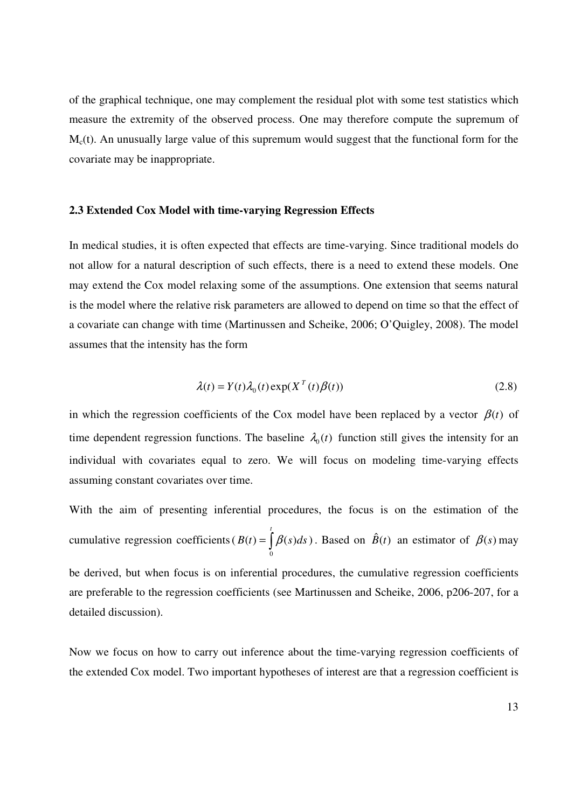of the graphical technique, one may complement the residual plot with some test statistics which measure the extremity of the observed process. One may therefore compute the supremum of  $M<sub>c</sub>(t)$ . An unusually large value of this supremum would suggest that the functional form for the covariate may be inappropriate.

#### **2.3 Extended Cox Model with time-varying Regression Effects**

In medical studies, it is often expected that effects are time-varying. Since traditional models do not allow for a natural description of such effects, there is a need to extend these models. One may extend the Cox model relaxing some of the assumptions. One extension that seems natural is the model where the relative risk parameters are allowed to depend on time so that the effect of a covariate can change with time (Martinussen and Scheike, 2006; O'Quigley, 2008). The model assumes that the intensity has the form

$$
\lambda(t) = Y(t)\lambda_0(t) \exp(X^T(t)\beta(t))
$$
\n(2.8)

in which the regression coefficients of the Cox model have been replaced by a vector  $\beta(t)$  of time dependent regression functions. The baseline  $\lambda_0(t)$  function still gives the intensity for an individual with covariates equal to zero. We will focus on modeling time-varying effects assuming constant covariates over time.

With the aim of presenting inferential procedures, the focus is on the estimation of the cumulative regression coefficients ( $B(t) = \int \beta(s) ds$ ) 0 *t*  $B(t) = \int \beta(s) ds$ ). Based on  $\hat{B}(t)$  an estimator of  $\beta(s)$  may

be derived, but when focus is on inferential procedures, the cumulative regression coefficients are preferable to the regression coefficients (see Martinussen and Scheike, 2006, p206-207, for a detailed discussion).

Now we focus on how to carry out inference about the time-varying regression coefficients of the extended Cox model. Two important hypotheses of interest are that a regression coefficient is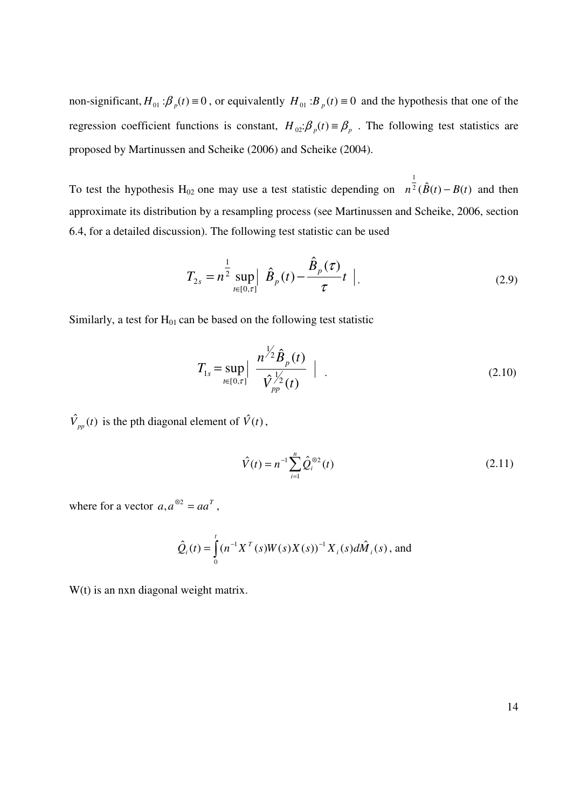non-significant,  $H_{01}$ :  $\beta_p(t) \equiv 0$ , or equivalently  $H_{01}$ :  $B_p(t) \equiv 0$  and the hypothesis that one of the regression coefficient functions is constant,  $H_{02}$ : $\beta_p(t) \equiv \beta_p$ . The following test statistics are proposed by Martinussen and Scheike (2006) and Scheike (2004).

To test the hypothesis H<sub>02</sub> one may use a test statistic depending on  $n^2 (\hat{B}(t) - B(t))$ 1  $n^2$   $(\dot{B}(t) - B(t))$  and then approximate its distribution by a resampling process (see Martinussen and Scheike, 2006, section 6.4, for a detailed discussion). The following test statistic can be used

$$
T_{2s} = n^{\frac{1}{2}} \sup_{t \in [0,\tau]} |\hat{B}_p(t) - \frac{\hat{B}_p(\tau)}{\tau} t |.
$$
 (2.9)

Similarly, a test for  $H<sub>01</sub>$  can be based on the following test statistic

$$
T_{1s} = \sup_{t \in [0,\tau]} \left| \frac{n^{\frac{1}{2}} \hat{B}_p(t)}{\hat{V}_{pp}^{\frac{1}{2}}(t)} \right| \tag{2.10}
$$

 $\hat{V}_{pp}(t)$  is the pth diagonal element of  $\hat{V}(t)$ ,

$$
\hat{V}(t) = n^{-1} \sum_{i=1}^{n} \hat{Q}_i^{\otimes 2}(t)
$$
\n(2.11)

where for a vector  $a, a^{\otimes 2} = aa^T$ ,

$$
\hat{Q}_i(t) = \int_0^t (n^{-1}X^T(s)W(s)X(s))^{-1} X_i(s)d\hat{M}_i(s)
$$
, and

W(t) is an nxn diagonal weight matrix.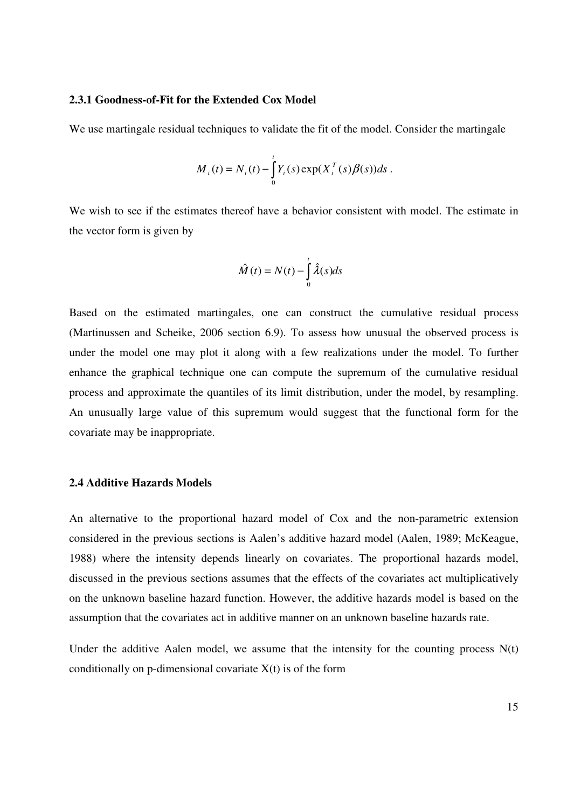#### **2.3.1 Goodness-of-Fit for the Extended Cox Model**

We use martingale residual techniques to validate the fit of the model. Consider the martingale

$$
M_{i}(t) = N_{i}(t) - \int_{0}^{t} Y_{i}(s) \exp(X_{i}^{T}(s) \beta(s)) ds.
$$

We wish to see if the estimates thereof have a behavior consistent with model. The estimate in the vector form is given by

$$
\hat{M}(t) = N(t) - \int_{0}^{t} \hat{\lambda}(s)ds
$$

Based on the estimated martingales, one can construct the cumulative residual process (Martinussen and Scheike, 2006 section 6.9). To assess how unusual the observed process is under the model one may plot it along with a few realizations under the model. To further enhance the graphical technique one can compute the supremum of the cumulative residual process and approximate the quantiles of its limit distribution, under the model, by resampling. An unusually large value of this supremum would suggest that the functional form for the covariate may be inappropriate.

#### **2.4 Additive Hazards Models**

An alternative to the proportional hazard model of Cox and the non-parametric extension considered in the previous sections is Aalen's additive hazard model (Aalen, 1989; McKeague, 1988) where the intensity depends linearly on covariates. The proportional hazards model, discussed in the previous sections assumes that the effects of the covariates act multiplicatively on the unknown baseline hazard function. However, the additive hazards model is based on the assumption that the covariates act in additive manner on an unknown baseline hazards rate.

Under the additive Aalen model, we assume that the intensity for the counting process  $N(t)$ conditionally on p-dimensional covariate  $X(t)$  is of the form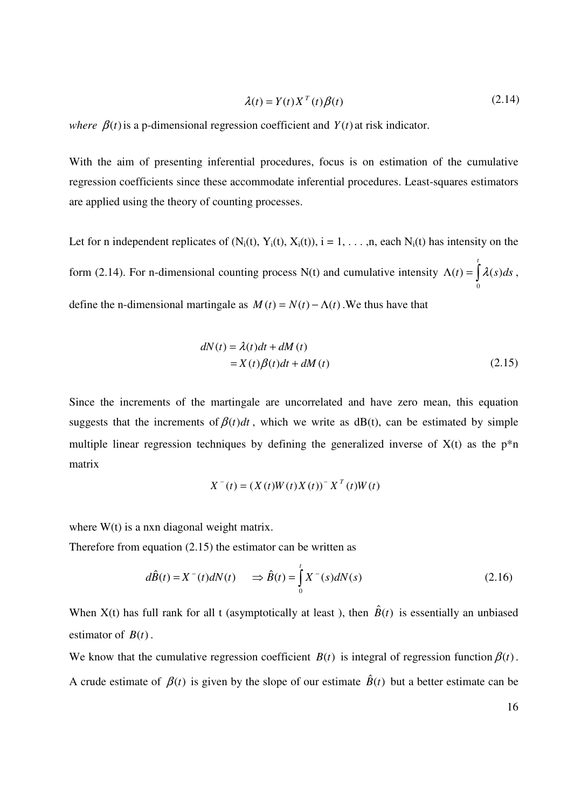$$
\lambda(t) = Y(t)X^{T}(t)\beta(t)
$$
\n(2.14)

*where*  $\beta(t)$  is a p-dimensional regression coefficient and  $Y(t)$  at risk indicator.

With the aim of presenting inferential procedures, focus is on estimation of the cumulative regression coefficients since these accommodate inferential procedures. Least-squares estimators are applied using the theory of counting processes.

Let for n independent replicates of  $(N_i(t), Y_i(t), X_i(t))$ , i = 1, . . . ,n, each  $N_i(t)$  has intensity on the form (2.14). For n-dimensional counting process N(t) and cumulative intensity  $\Lambda(t) = \int$ *t*  $t(t) = \frac{\lambda(s)}{ds}$ ,  $\mathbf 0$ define the n-dimensional martingale as  $M(t) = N(t) - \Lambda(t)$ . We thus have that

$$
dN(t) = \lambda(t)dt + dM(t)
$$
  
=  $X(t)\beta(t)dt + dM(t)$  (2.15)

Since the increments of the martingale are uncorrelated and have zero mean, this equation suggests that the increments of  $\beta(t)dt$ , which we write as dB(t), can be estimated by simple multiple linear regression techniques by defining the generalized inverse of  $X(t)$  as the  $p^*n$ matrix

$$
X^{-}(t) = (X(t)W(t)X(t))^{-} X^{T}(t)W(t)
$$

where  $W(t)$  is a nxn diagonal weight matrix.

Therefore from equation (2.15) the estimator can be written as

$$
d\hat{B}(t) = X^{-}(t)dN(t) \qquad \Rightarrow \hat{B}(t) = \int_{0}^{t} X^{-}(s)dN(s) \tag{2.16}
$$

When  $X(t)$  has full rank for all t (asymptotically at least), then  $\hat{B}(t)$  is essentially an unbiased estimator of  $B(t)$ .

We know that the cumulative regression coefficient  $B(t)$  is integral of regression function  $B(t)$ . A crude estimate of  $\beta(t)$  is given by the slope of our estimate  $\hat{B}(t)$  but a better estimate can be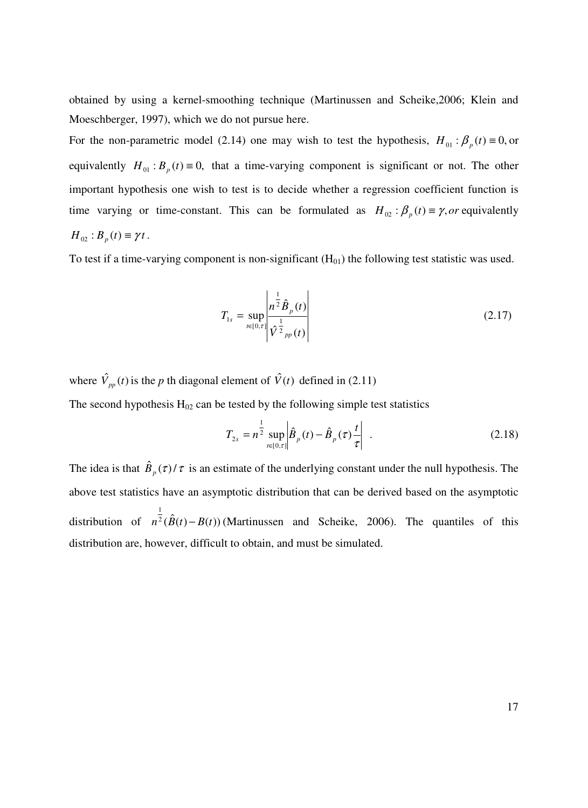obtained by using a kernel-smoothing technique (Martinussen and Scheike,2006; Klein and Moeschberger, 1997), which we do not pursue here.

For the non-parametric model (2.14) one may wish to test the hypothesis,  $H_{01}$ :  $\beta_p(t) \equiv 0$ , or equivalently  $H_{01}$ :  $B_p(t) \equiv 0$ , that a time-varying component is significant or not. The other important hypothesis one wish to test is to decide whether a regression coefficient function is time varying or time-constant. This can be formulated as  $H_{02}$ :  $\beta_p(t) \equiv \gamma$ , or equivalently  $H_{02}: B_p(t) \equiv \gamma t$ .

To test if a time-varying component is non-significant  $(H_{01})$  the following test statistic was used.

$$
T_{1s} = \sup_{t \in [0,\tau]} \left| \frac{n^{\frac{1}{2}} \hat{B}_p(t)}{\hat{V}^{\frac{1}{2}}_{pp}(t)} \right| \tag{2.17}
$$

where  $\hat{V}_{pp}(t)$  is the *p* th diagonal element of  $\hat{V}(t)$  defined in (2.11) The second hypothesis  $H_{02}$  can be tested by the following simple test statistics

$$
T_{2s} = n^{\frac{1}{2}} \sup_{t \in [0,\tau]} \left| \hat{B}_p(t) - \hat{B}_p(\tau) \frac{t}{\tau} \right| \tag{2.18}
$$

The idea is that  $\hat{B}_p(\tau)/\tau$  is an estimate of the underlying constant under the null hypothesis. The above test statistics have an asymptotic distribution that can be derived based on the asymptotic distribution of  $n^2(\hat{B}(t) - B(t))$ 1  $n^2(B(t) - B(t))$  (Martinussen and Scheike, 2006). The quantiles of this distribution are, however, difficult to obtain, and must be simulated.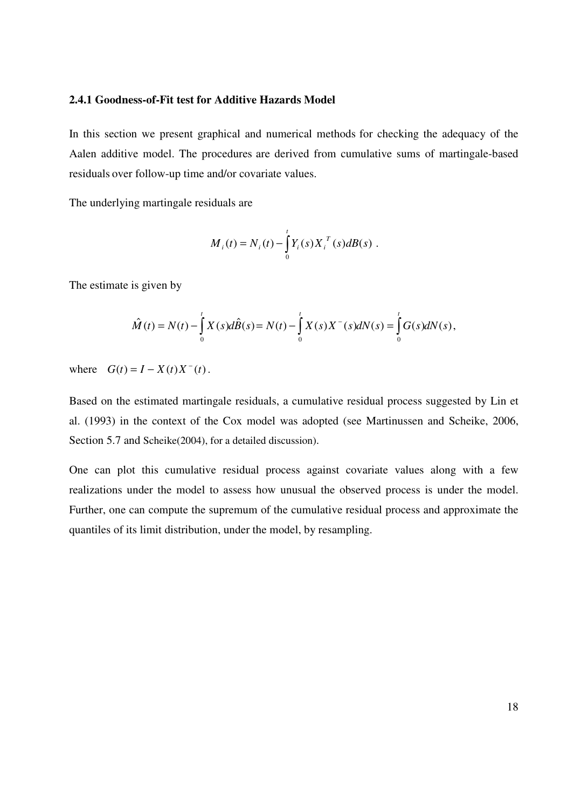#### **2.4.1 Goodness-of-Fit test for Additive Hazards Model**

In this section we present graphical and numerical methods for checking the adequacy of the Aalen additive model. The procedures are derived from cumulative sums of martingale-based residuals over follow-up time and/or covariate values.

The underlying martingale residuals are

$$
M_{i}(t) = N_{i}(t) - \int_{0}^{t} Y_{i}(s) X_{i}^{T}(s) dB(s) .
$$

The estimate is given by

$$
\hat{M}(t) = N(t) - \int_{0}^{t} X(s) d\hat{B}(s) = N(t) - \int_{0}^{t} X(s) X^{-}(s) dN(s) = \int_{0}^{t} G(s) dN(s),
$$

where  $G(t) = I - X(t)X^{-}(t)$ .

Based on the estimated martingale residuals, a cumulative residual process suggested by Lin et al. (1993) in the context of the Cox model was adopted (see Martinussen and Scheike, 2006, Section 5.7 and Scheike(2004), for a detailed discussion).

One can plot this cumulative residual process against covariate values along with a few realizations under the model to assess how unusual the observed process is under the model. Further, one can compute the supremum of the cumulative residual process and approximate the quantiles of its limit distribution, under the model, by resampling.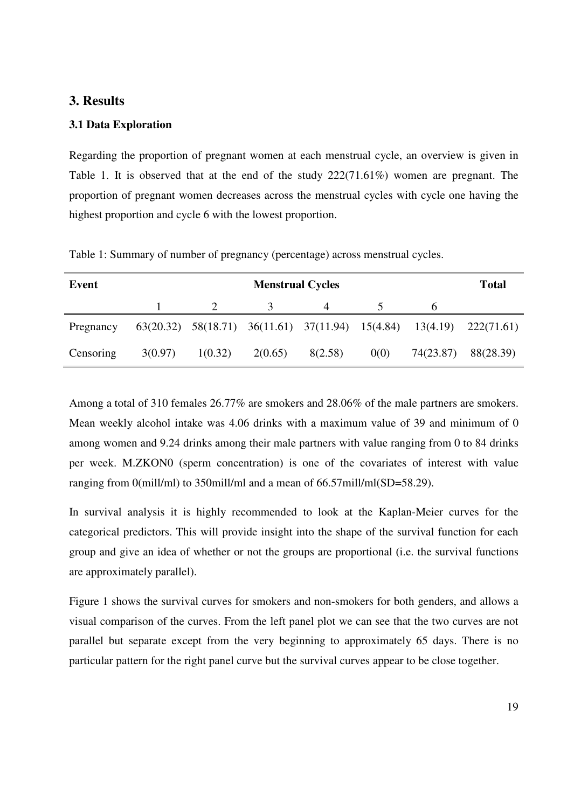#### **3. Results**

#### **3.1 Data Exploration**

Regarding the proportion of pregnant women at each menstrual cycle, an overview is given in Table 1. It is observed that at the end of the study 222(71.61%) women are pregnant. The proportion of pregnant women decreases across the menstrual cycles with cycle one having the highest proportion and cycle 6 with the lowest proportion.

| Event     | <b>Menstrual Cycles</b> |         |         |         | <b>Total</b> |           |                                                                                    |
|-----------|-------------------------|---------|---------|---------|--------------|-----------|------------------------------------------------------------------------------------|
|           |                         |         |         |         |              |           |                                                                                    |
| Pregnancy |                         |         |         |         |              |           | $63(20.32)$ $58(18.71)$ $36(11.61)$ $37(11.94)$ $15(4.84)$ $13(4.19)$ $222(71.61)$ |
| Censoring | 3(0.97)                 | 1(0.32) | 2(0.65) | 8(2.58) | 0(0)         | 74(23.87) | 88(28.39)                                                                          |

Table 1: Summary of number of pregnancy (percentage) across menstrual cycles.

Among a total of 310 females 26.77% are smokers and 28.06% of the male partners are smokers. Mean weekly alcohol intake was 4.06 drinks with a maximum value of 39 and minimum of 0 among women and 9.24 drinks among their male partners with value ranging from 0 to 84 drinks per week. M.ZKON0 (sperm concentration) is one of the covariates of interest with value ranging from 0(mill/ml) to 350mill/ml and a mean of 66.57mill/ml(SD=58.29).

In survival analysis it is highly recommended to look at the Kaplan-Meier curves for the categorical predictors. This will provide insight into the shape of the survival function for each group and give an idea of whether or not the groups are proportional (i.e. the survival functions are approximately parallel).

Figure 1 shows the survival curves for smokers and non-smokers for both genders, and allows a visual comparison of the curves. From the left panel plot we can see that the two curves are not parallel but separate except from the very beginning to approximately 65 days. There is no particular pattern for the right panel curve but the survival curves appear to be close together.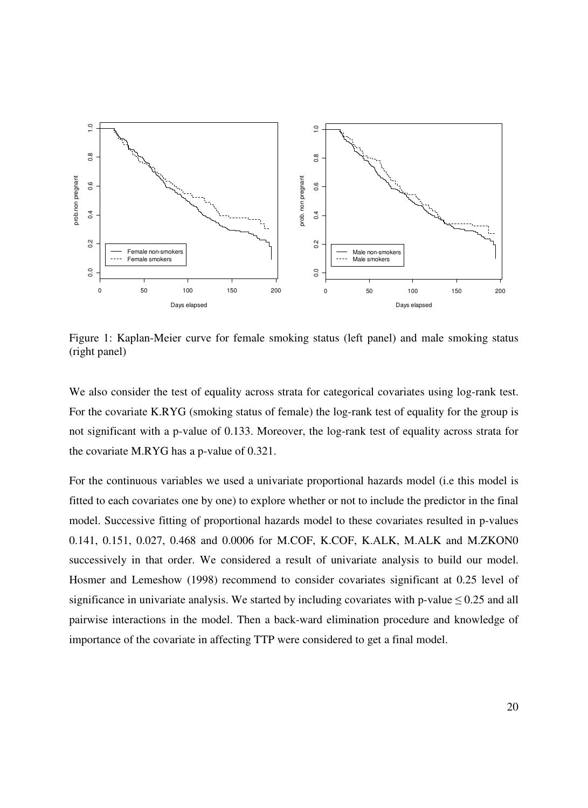

Figure 1: Kaplan-Meier curve for female smoking status (left panel) and male smoking status (right panel)

We also consider the test of equality across strata for categorical covariates using log-rank test. For the covariate K.RYG (smoking status of female) the log-rank test of equality for the group is not significant with a p-value of 0.133. Moreover, the log-rank test of equality across strata for the covariate M.RYG has a p-value of 0.321.

For the continuous variables we used a univariate proportional hazards model (i.e this model is fitted to each covariates one by one) to explore whether or not to include the predictor in the final model. Successive fitting of proportional hazards model to these covariates resulted in p-values 0.141, 0.151, 0.027, 0.468 and 0.0006 for M.COF, K.COF, K.ALK, M.ALK and M.ZKON0 successively in that order. We considered a result of univariate analysis to build our model. Hosmer and Lemeshow (1998) recommend to consider covariates significant at 0.25 level of significance in univariate analysis. We started by including covariates with p-value  $\leq 0.25$  and all pairwise interactions in the model. Then a back-ward elimination procedure and knowledge of importance of the covariate in affecting TTP were considered to get a final model.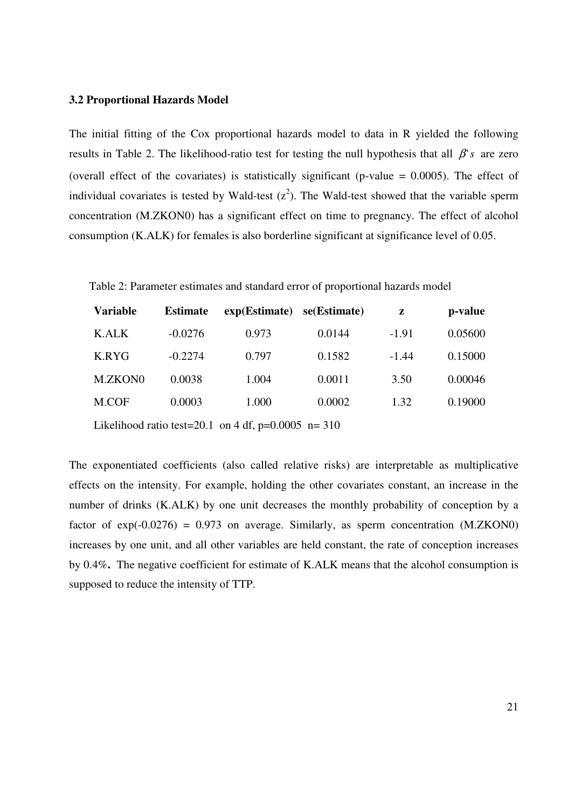#### **3.2 Proportional Hazards Model**

The initial fitting of the Cox proportional hazards model to data in R yielded the following results in Table 2. The likelihood-ratio test for testing the null hypothesis that all β'*s* are zero (overall effect of the covariates) is statistically significant (p-value  $= 0.0005$ ). The effect of individual covariates is tested by Wald-test  $(z^2)$ . The Wald-test showed that the variable sperm concentration (M.ZKON0) has a significant effect on time to pregnancy. The effect of alcohol consumption (K.ALK) for females is also borderline significant at significance level of 0.05.

Table 2: Parameter estimates and standard error of proportional hazards model

| <b>Variable</b> | <b>Estimate</b> | exp(Estimate) | se(Estimate) | z       | p-value |
|-----------------|-----------------|---------------|--------------|---------|---------|
| <b>K.ALK</b>    | $-0.0276$       | 0.973         | 0.0144       | $-1.91$ | 0.05600 |
| K.RYG           | $-0.2274$       | 0.797         | 0.1582       | $-1.44$ | 0.15000 |
| M.ZKON0         | 0.0038          | 1.004         | 0.0011       | 3.50    | 0.00046 |
| M.COF           | 0.0003          | 1.000         | 0.0002       | 1.32    | 0.19000 |
|                 |                 |               |              |         |         |

Likelihood ratio test=20.1 on 4 df,  $p=0.0005$  n= 310

The exponentiated coefficients (also called relative risks) are interpretable as multiplicative effects on the intensity. For example, holding the other covariates constant, an increase in the number of drinks (K.ALK) by one unit decreases the monthly probability of conception by a factor of  $exp(-0.0276) = 0.973$  on average. Similarly, as sperm concentration  $(M.ZKON0)$ increases by one unit, and all other variables are held constant, the rate of conception increases by 0.4%**.** The negative coefficient for estimate of K.ALK means that the alcohol consumption is supposed to reduce the intensity of TTP.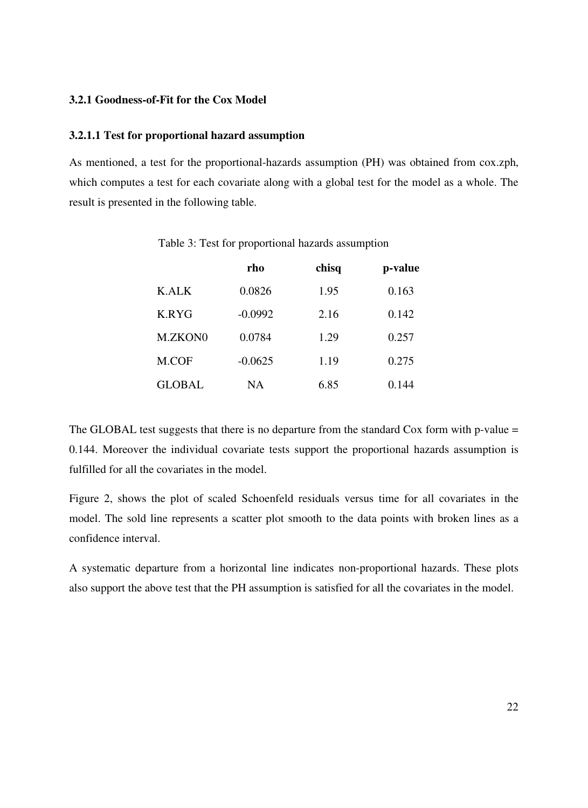#### **3.2.1 Goodness-of-Fit for the Cox Model**

#### **3.2.1.1 Test for proportional hazard assumption**

As mentioned, a test for the proportional-hazards assumption (PH) was obtained from cox.zph, which computes a test for each covariate along with a global test for the model as a whole. The result is presented in the following table.

|               | rho       | chisq | p-value |
|---------------|-----------|-------|---------|
| <b>K.ALK</b>  | 0.0826    | 1.95  | 0.163   |
| K.RYG         | $-0.0992$ | 2.16  | 0.142   |
| M.ZKON0       | 0.0784    | 1.29  | 0.257   |
| M.COF         | $-0.0625$ | 1.19  | 0.275   |
| <b>GLOBAL</b> | NΑ        | 6.85  | 0.144   |

Table 3: Test for proportional hazards assumption

The GLOBAL test suggests that there is no departure from the standard Cox form with p-value = 0.144. Moreover the individual covariate tests support the proportional hazards assumption is fulfilled for all the covariates in the model.

Figure 2, shows the plot of scaled Schoenfeld residuals versus time for all covariates in the model. The sold line represents a scatter plot smooth to the data points with broken lines as a confidence interval.

A systematic departure from a horizontal line indicates non-proportional hazards. These plots also support the above test that the PH assumption is satisfied for all the covariates in the model.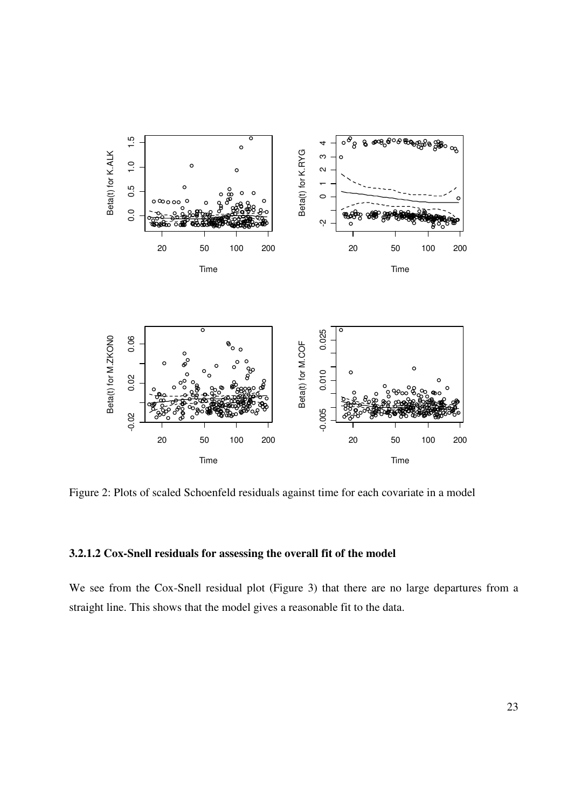

Figure 2: Plots of scaled Schoenfeld residuals against time for each covariate in a model

#### **3.2.1.2 Cox-Snell residuals for assessing the overall fit of the model**

We see from the Cox-Snell residual plot (Figure 3) that there are no large departures from a straight line. This shows that the model gives a reasonable fit to the data.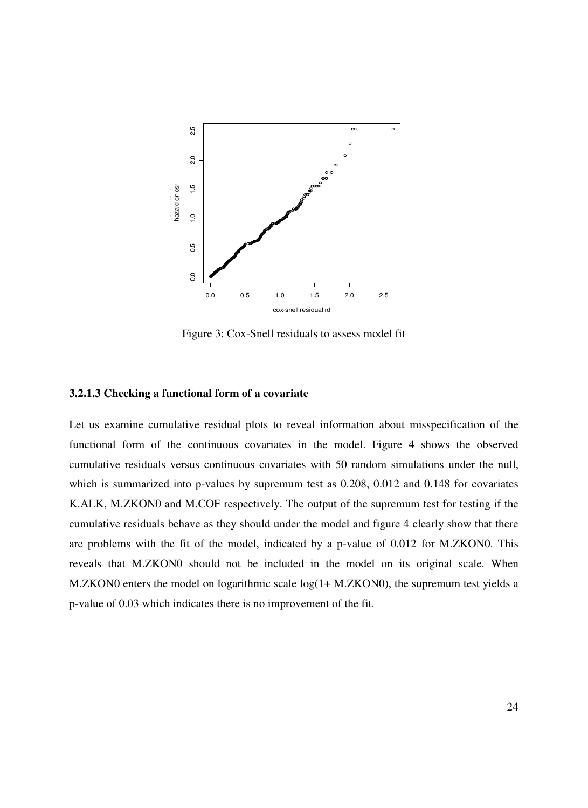

Figure 3: Cox-Snell residuals to assess model fit

#### **3.2.1.3 Checking a functional form of a covariate**

Let us examine cumulative residual plots to reveal information about misspecification of the functional form of the continuous covariates in the model. Figure 4 shows the observed cumulative residuals versus continuous covariates with 50 random simulations under the null, which is summarized into p-values by supremum test as 0.208, 0.012 and 0.148 for covariates K.ALK, M.ZKON0 and M.COF respectively. The output of the supremum test for testing if the cumulative residuals behave as they should under the model and figure 4 clearly show that there are problems with the fit of the model, indicated by a p-value of 0.012 for M.ZKON0. This reveals that M.ZKON0 should not be included in the model on its original scale. When M.ZKON0 enters the model on logarithmic scale log(1+ M.ZKON0), the supremum test yields a p-value of 0.03 which indicates there is no improvement of the fit.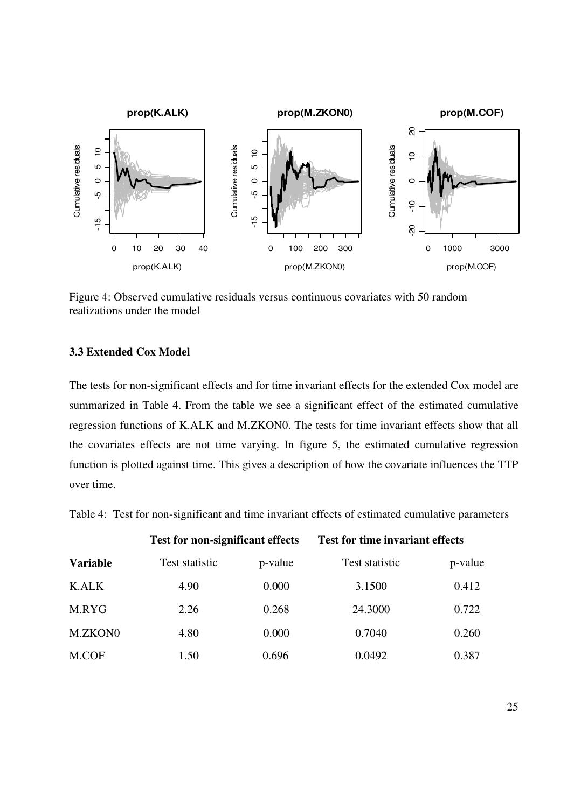

Figure 4: Observed cumulative residuals versus continuous covariates with 50 random realizations under the model

#### **3.3 Extended Cox Model**

The tests for non-significant effects and for time invariant effects for the extended Cox model are summarized in Table 4. From the table we see a significant effect of the estimated cumulative regression functions of K.ALK and M.ZKON0. The tests for time invariant effects show that all the covariates effects are not time varying. In figure 5, the estimated cumulative regression function is plotted against time. This gives a description of how the covariate influences the TTP over time.

Table 4: Test for non-significant and time invariant effects of estimated cumulative parameters

|                 | <b>Test for non-significant effects</b> |         | <b>Test for time invariant effects</b> |         |
|-----------------|-----------------------------------------|---------|----------------------------------------|---------|
| <b>Variable</b> | Test statistic                          | p-value | Test statistic                         | p-value |
| <b>K.ALK</b>    | 4.90                                    | 0.000   | 3.1500                                 | 0.412   |
| M.RYG           | 2.26                                    | 0.268   | 24.3000                                | 0.722   |
| M.ZKON0         | 4.80                                    | 0.000   | 0.7040                                 | 0.260   |
| M.COF           | 1.50                                    | 0.696   | 0.0492                                 | 0.387   |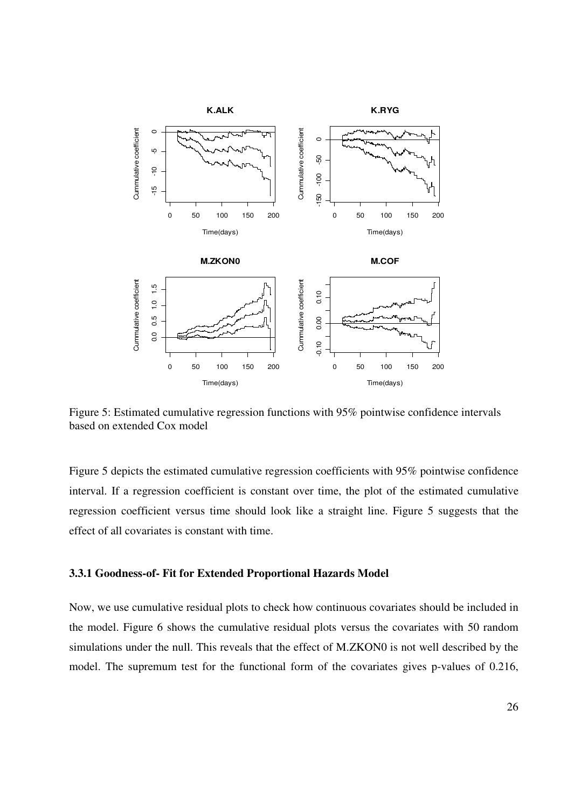

Figure 5: Estimated cumulative regression functions with 95% pointwise confidence intervals based on extended Cox model

Figure 5 depicts the estimated cumulative regression coefficients with 95% pointwise confidence interval. If a regression coefficient is constant over time, the plot of the estimated cumulative regression coefficient versus time should look like a straight line. Figure 5 suggests that the effect of all covariates is constant with time.

#### **3.3.1 Goodness-of- Fit for Extended Proportional Hazards Model**

Now, we use cumulative residual plots to check how continuous covariates should be included in the model. Figure 6 shows the cumulative residual plots versus the covariates with 50 random simulations under the null. This reveals that the effect of M.ZKON0 is not well described by the model. The supremum test for the functional form of the covariates gives p-values of 0.216,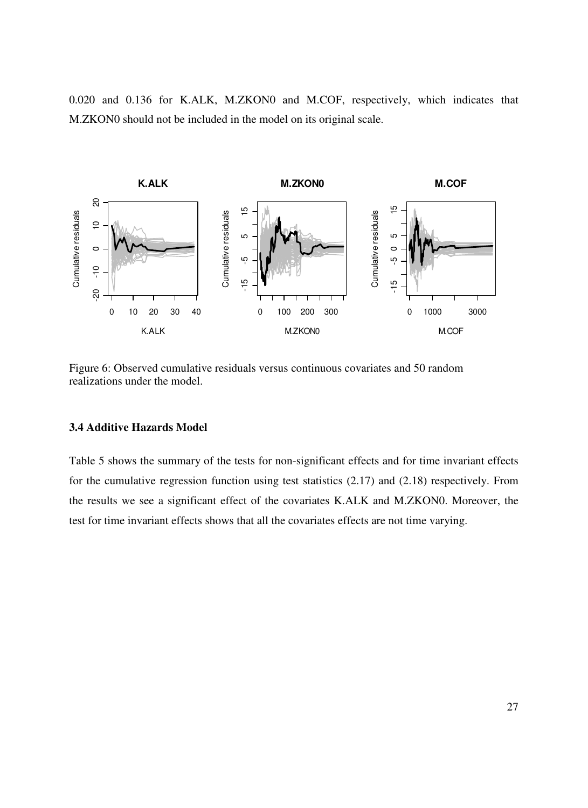0.020 and 0.136 for K.ALK, M.ZKON0 and M.COF, respectively, which indicates that M.ZKON0 should not be included in the model on its original scale.



Figure 6: Observed cumulative residuals versus continuous covariates and 50 random realizations under the model.

#### **3.4 Additive Hazards Model**

Table 5 shows the summary of the tests for non-significant effects and for time invariant effects for the cumulative regression function using test statistics (2.17) and (2.18) respectively. From the results we see a significant effect of the covariates K.ALK and M.ZKON0. Moreover, the test for time invariant effects shows that all the covariates effects are not time varying.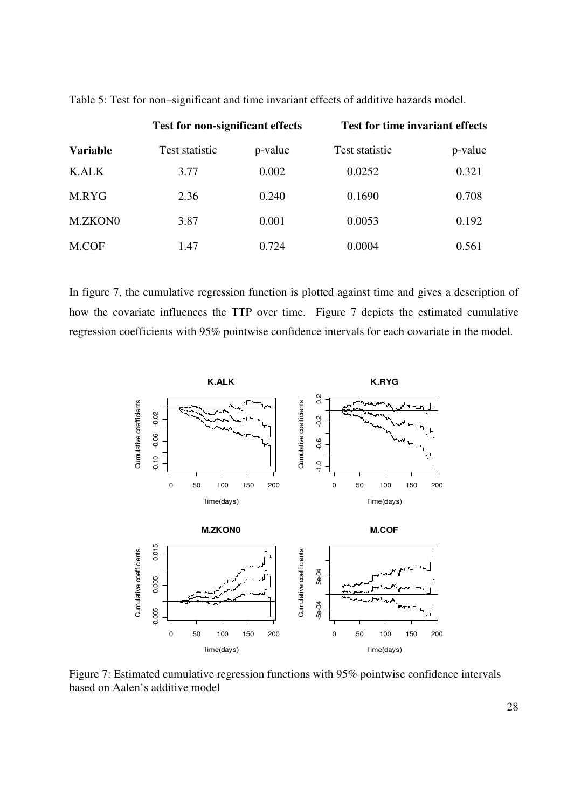|                 | <b>Test for non-significant effects</b> |         | <b>Test for time invariant effects</b> |         |
|-----------------|-----------------------------------------|---------|----------------------------------------|---------|
| <b>Variable</b> | Test statistic                          | p-value | Test statistic                         | p-value |
| K.ALK           | 3.77                                    | 0.002   | 0.0252                                 | 0.321   |
| M.RYG           | 2.36                                    | 0.240   | 0.1690                                 | 0.708   |
| M.ZKON0         | 3.87                                    | 0.001   | 0.0053                                 | 0.192   |
| M.COF           | 1.47                                    | 0.724   | 0.0004                                 | 0.561   |

Table 5: Test for non–significant and time invariant effects of additive hazards model.

In figure 7, the cumulative regression function is plotted against time and gives a description of how the covariate influences the TTP over time. Figure 7 depicts the estimated cumulative regression coefficients with 95% pointwise confidence intervals for each covariate in the model.



Figure 7: Estimated cumulative regression functions with 95% pointwise confidence intervals based on Aalen's additive model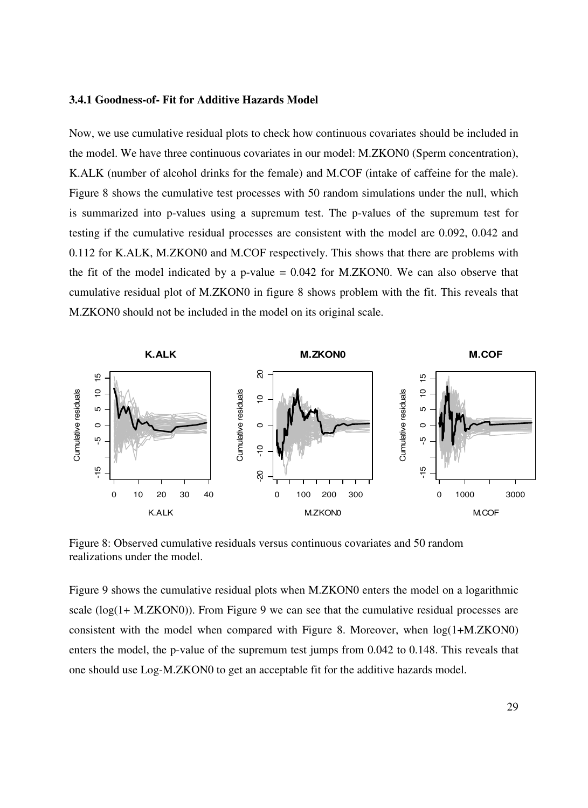#### **3.4.1 Goodness-of- Fit for Additive Hazards Model**

Now, we use cumulative residual plots to check how continuous covariates should be included in the model. We have three continuous covariates in our model: M.ZKON0 (Sperm concentration), K.ALK (number of alcohol drinks for the female) and M.COF (intake of caffeine for the male). Figure 8 shows the cumulative test processes with 50 random simulations under the null, which is summarized into p-values using a supremum test. The p-values of the supremum test for testing if the cumulative residual processes are consistent with the model are 0.092, 0.042 and 0.112 for K.ALK, M.ZKON0 and M.COF respectively. This shows that there are problems with the fit of the model indicated by a p-value  $= 0.042$  for M.ZKON0. We can also observe that cumulative residual plot of M.ZKON0 in figure 8 shows problem with the fit. This reveals that M.ZKON0 should not be included in the model on its original scale.



Figure 8: Observed cumulative residuals versus continuous covariates and 50 random realizations under the model.

Figure 9 shows the cumulative residual plots when M.ZKON0 enters the model on a logarithmic scale (log(1+ M.ZKON0)). From Figure 9 we can see that the cumulative residual processes are consistent with the model when compared with Figure 8. Moreover, when log(1+M.ZKON0) enters the model, the p-value of the supremum test jumps from 0.042 to 0.148. This reveals that one should use Log-M.ZKON0 to get an acceptable fit for the additive hazards model.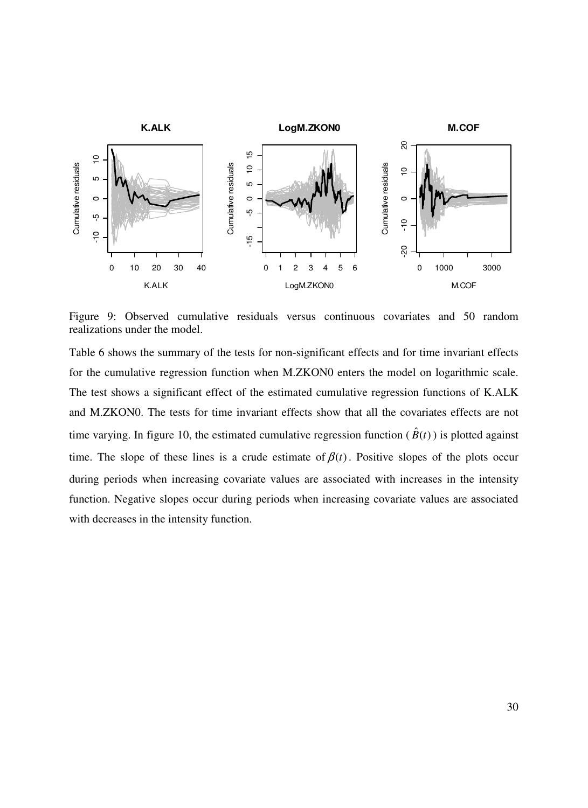

Figure 9: Observed cumulative residuals versus continuous covariates and 50 random realizations under the model.

Table 6 shows the summary of the tests for non-significant effects and for time invariant effects for the cumulative regression function when M.ZKON0 enters the model on logarithmic scale. The test shows a significant effect of the estimated cumulative regression functions of K.ALK and M.ZKON0. The tests for time invariant effects show that all the covariates effects are not time varying. In figure 10, the estimated cumulative regression function  $(\hat{B}(t))$  is plotted against time. The slope of these lines is a crude estimate of  $\beta(t)$ . Positive slopes of the plots occur during periods when increasing covariate values are associated with increases in the intensity function. Negative slopes occur during periods when increasing covariate values are associated with decreases in the intensity function.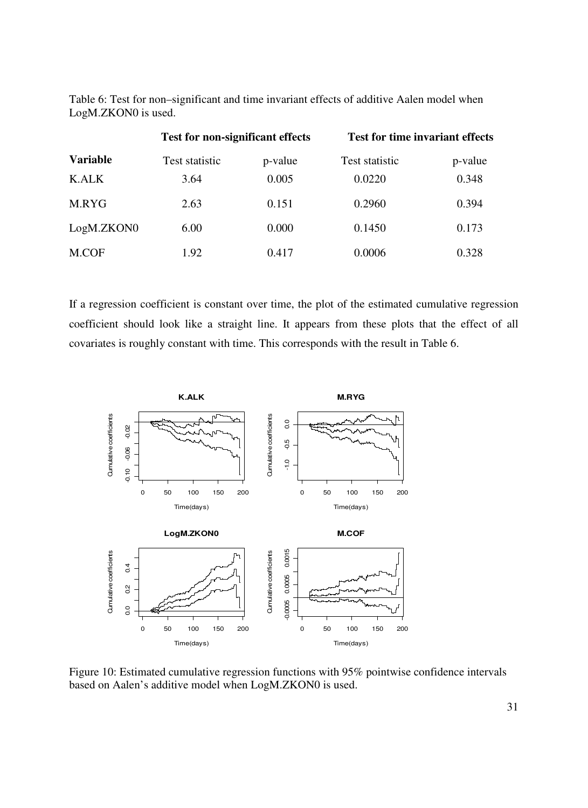Table 6: Test for non–significant and time invariant effects of additive Aalen model when LogM.ZKON0 is used.

|                 | <b>Test for non-significant effects</b> |         | <b>Test for time invariant effects</b> |         |
|-----------------|-----------------------------------------|---------|----------------------------------------|---------|
| <b>Variable</b> | Test statistic                          | p-value | Test statistic                         | p-value |
| K.ALK           | 3.64                                    | 0.005   | 0.0220                                 | 0.348   |
| M.RYG           | 2.63                                    | 0.151   | 0.2960                                 | 0.394   |
| LogM.ZKON0      | 6.00                                    | 0.000   | 0.1450                                 | 0.173   |
| M.COF           | 1.92                                    | 0.417   | 0.0006                                 | 0.328   |

If a regression coefficient is constant over time, the plot of the estimated cumulative regression coefficient should look like a straight line. It appears from these plots that the effect of all covariates is roughly constant with time. This corresponds with the result in Table 6.



Figure 10: Estimated cumulative regression functions with 95% pointwise confidence intervals based on Aalen's additive model when LogM.ZKON0 is used.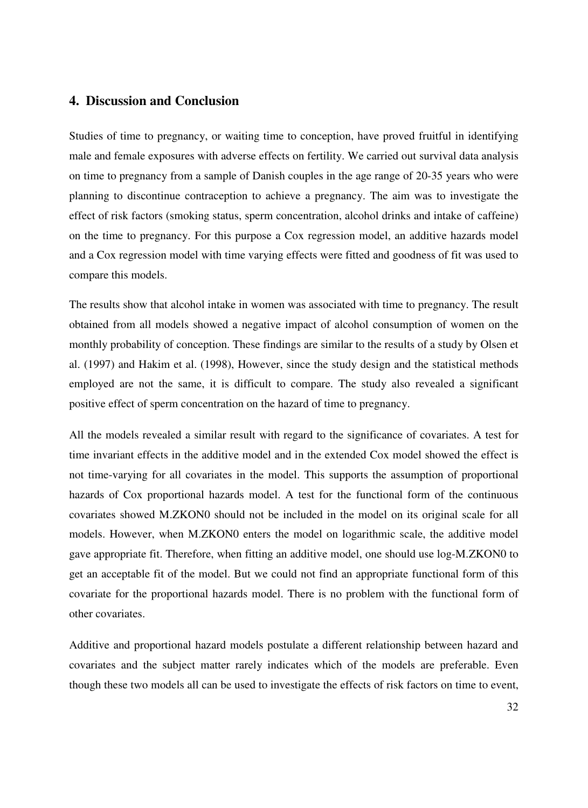#### **4. Discussion and Conclusion**

Studies of time to pregnancy, or waiting time to conception, have proved fruitful in identifying male and female exposures with adverse effects on fertility. We carried out survival data analysis on time to pregnancy from a sample of Danish couples in the age range of 20-35 years who were planning to discontinue contraception to achieve a pregnancy. The aim was to investigate the effect of risk factors (smoking status, sperm concentration, alcohol drinks and intake of caffeine) on the time to pregnancy. For this purpose a Cox regression model, an additive hazards model and a Cox regression model with time varying effects were fitted and goodness of fit was used to compare this models.

The results show that alcohol intake in women was associated with time to pregnancy. The result obtained from all models showed a negative impact of alcohol consumption of women on the monthly probability of conception. These findings are similar to the results of a study by Olsen et al. (1997) and Hakim et al. (1998), However, since the study design and the statistical methods employed are not the same, it is difficult to compare. The study also revealed a significant positive effect of sperm concentration on the hazard of time to pregnancy.

All the models revealed a similar result with regard to the significance of covariates. A test for time invariant effects in the additive model and in the extended Cox model showed the effect is not time-varying for all covariates in the model. This supports the assumption of proportional hazards of Cox proportional hazards model. A test for the functional form of the continuous covariates showed M.ZKON0 should not be included in the model on its original scale for all models. However, when M.ZKON0 enters the model on logarithmic scale, the additive model gave appropriate fit. Therefore, when fitting an additive model, one should use log-M.ZKON0 to get an acceptable fit of the model. But we could not find an appropriate functional form of this covariate for the proportional hazards model. There is no problem with the functional form of other covariates.

Additive and proportional hazard models postulate a different relationship between hazard and covariates and the subject matter rarely indicates which of the models are preferable. Even though these two models all can be used to investigate the effects of risk factors on time to event,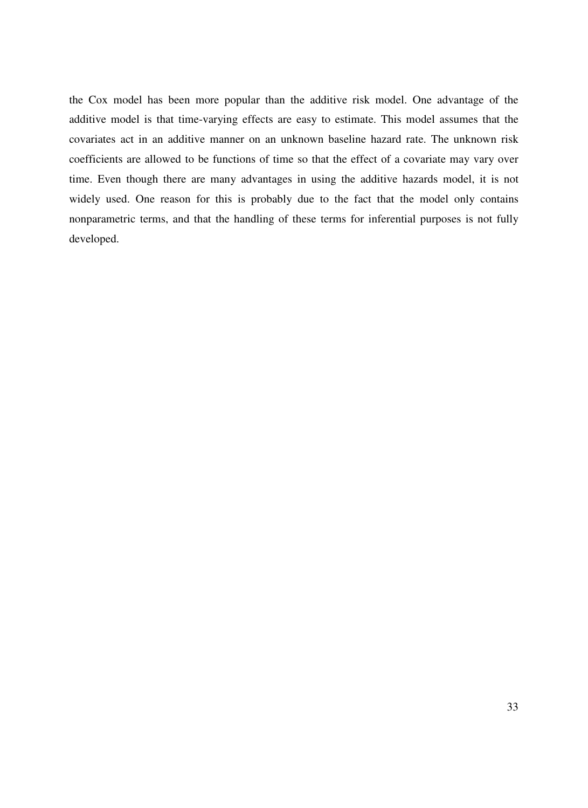the Cox model has been more popular than the additive risk model. One advantage of the additive model is that time-varying effects are easy to estimate. This model assumes that the covariates act in an additive manner on an unknown baseline hazard rate. The unknown risk coefficients are allowed to be functions of time so that the effect of a covariate may vary over time. Even though there are many advantages in using the additive hazards model, it is not widely used. One reason for this is probably due to the fact that the model only contains nonparametric terms, and that the handling of these terms for inferential purposes is not fully developed.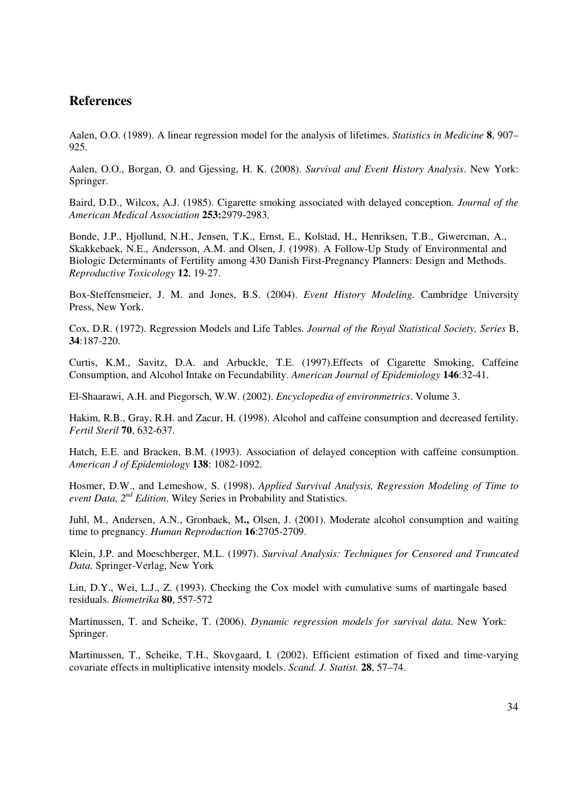#### **References**

Aalen, O.O. (1989). A linear regression model for the analysis of lifetimes. *Statistics in Medicine* **8**, 907– 925.

Aalen, O.O., Borgan, O. and Gjessing, H. K. (2008). *Survival and Event History Analysis*. New York: Springer.

Baird, D.D., Wilcox, A.J. (1985). Cigarette smoking associated with delayed conception. *Journal of the American Medical Association* **253:**2979-2983.

Bonde, J.P., Hjollund, N.H., Jensen, T.K., Ernst, E., Kolstad, H., Henriksen, T.B., Giwercman, A., Skakkebaek, N.E., Andersson, A.M. and Olsen, J. (1998). A Follow-Up Study of Environmental and Biologic Determinants of Fertility among 430 Danish First-Pregnancy Planners: Design and Methods. *Reproductive Toxicology* **12**, 19-27.

Box-Steffensmeier, J. M. and Jones, B.S. (2004). *Event History Modeling.* Cambridge University Press, New York.

Cox, D.R. (1972). Regression Models and Life Tables. *Journal of the Royal Statistical Society, Series* B, **34**:187-220.

Curtis, K.M., Savitz, D.A. and Arbuckle, T.E. (1997).Effects of Cigarette Smoking, Caffeine Consumption, and Alcohol Intake on Fecundability. *American Journal of Epidemiology* **146**:32-41.

El-Shaarawi, A.H. and Piegorsch, W.W. (2002). *Encyclopedia of environmetrics*. Volume 3.

Hakim, R.B., Gray, R.H. and Zacur, H. (1998). Alcohol and caffeine consumption and decreased fertility. *Fertil Steril* **70**, 632-637.

Hatch, E.E. and Bracken, B.M. (1993). Association of delayed conception with caffeine consumption. *American J of Epidemiology* **138**: 1082-1092.

Hosmer, D.W., and Lemeshow, S. (1998). *Applied Survival Analysis, Regression Modeling of Time to event Data, 2nd Edition*. Wiley Series in Probability and Statistics.

Juhl, M., Andersen, A.N., Gronbaek, M**.,** Olsen, J. (2001). Moderate alcohol consumption and waiting time to pregnancy*. Human Reproduction* **16**:2705-2709.

Klein, J.P. and Moeschberger, M.L. (1997). *Survival Analysis: Techniques for Censored and Truncated Data.* Springer-Verlag, New York

Lin, D.Y., Wei, L.J., Z. (1993). Checking the Cox model with cumulative sums of martingale based residuals. *Biometrika* **80**, 557-572

Martinussen, T. and Scheike, T. (2006). *Dynamic regression models for survival data*. New York: Springer.

Martinussen, T., Scheike, T.H., Skovgaard, I. (2002). Efficient estimation of fixed and time-varying covariate effects in multiplicative intensity models. *Scand. J. Statist.* **28**, 57–74.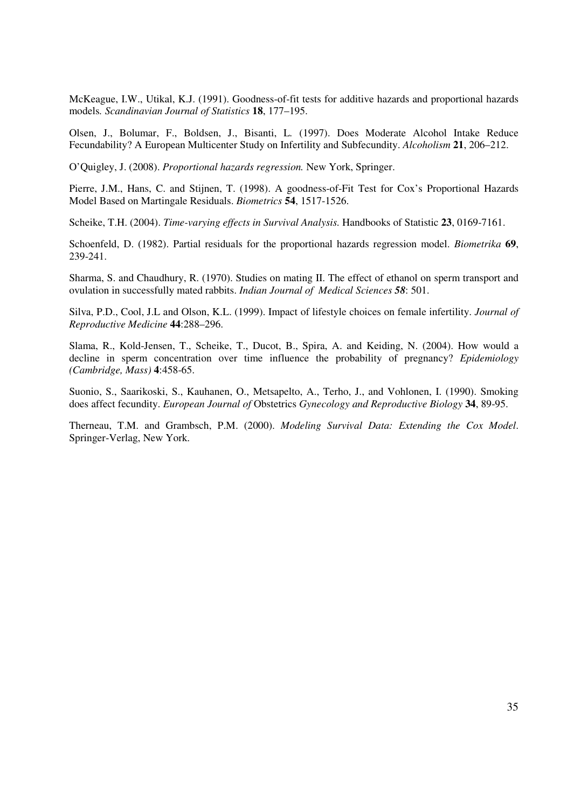McKeague, I.W., Utikal, K.J. (1991). Goodness-of-fit tests for additive hazards and proportional hazards models*. Scandinavian Journal of Statistics* **18**, 177–195.

Olsen, J., Bolumar, F., Boldsen, J., Bisanti, L*.* (1997). Does Moderate Alcohol Intake Reduce Fecundability? A European Multicenter Study on Infertility and Subfecundity. *Alcoholism* **21**, 206–212.

O'Quigley, J. (2008). *Proportional hazards regression.* New York, Springer.

Pierre, J.M., Hans, C. and Stijnen, T. (1998). A goodness-of-Fit Test for Cox's Proportional Hazards Model Based on Martingale Residuals. *Biometrics* **54**, 1517-1526.

Scheike, T.H. (2004). *Time-varying effects in Survival Analysis.* Handbooks of Statistic **23**, 0169-7161.

Schoenfeld, D. (1982). Partial residuals for the proportional hazards regression model. *Biometrika* **69**, 239-241.

Sharma, S. and Chaudhury, R. (1970). Studies on mating II. The effect of ethanol on sperm transport and ovulation in successfully mated rabbits. *Indian Journal of Medical Sciences 58*: 501.

Silva, P.D., Cool, J.L and Olson, K.L. (1999). Impact of lifestyle choices on female infertility. *Journal of Reproductive Medicine* **44**:288–296.

Slama, R., Kold-Jensen, T., Scheike, T., Ducot, B., Spira, A. and Keiding, N. (2004). How would a decline in sperm concentration over time influence the probability of pregnancy? *Epidemiology (Cambridge, Mass)* **4**:458-65.

Suonio, S., Saarikoski, S., Kauhanen, O., Metsapelto, A., Terho, J., and Vohlonen, I. (1990). Smoking does affect fecundity. *European Journal of* Obstetrics *Gynecology and Reproductive Biology* **34**, 89-95.

Therneau, T.M. and Grambsch, P.M. (2000). *Modeling Survival Data: Extending the Cox Model*. Springer-Verlag, New York.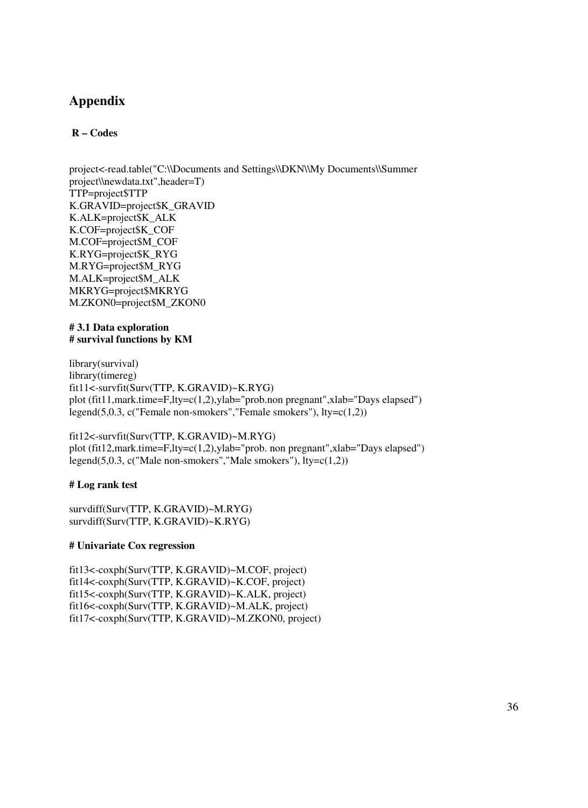## **Appendix**

#### **R – Codes**

project<-read.table("C:\\Documents and Settings\\DKN\\My Documents\\Summer project\\newdata.txt",header=T) TTP=project\$TTP K.GRAVID=project\$K\_GRAVID K.ALK=project\$K\_ALK K.COF=project\$K\_COF M.COF=project\$M\_COF K.RYG=project\$K\_RYG M.RYG=project\$M\_RYG M.ALK=project\$M\_ALK MKRYG=project\$MKRYG M.ZKON0=project\$M\_ZKON0

#### **# 3.1 Data exploration # survival functions by KM**

library(survival) library(timereg) fit11<-survfit(Surv(TTP, K.GRAVID)~K.RYG) plot (fit11,mark.time=F,lty=c(1,2),ylab="prob.non pregnant",xlab="Days elapsed") legend(5,0.3, c("Female non-smokers","Female smokers"), lty=c(1,2))

#### fit12<-survfit(Surv(TTP, K.GRAVID)~M.RYG) plot (fit12,mark.time=F,lty=c(1,2),ylab="prob. non pregnant",xlab="Days elapsed") legend(5,0.3, c("Male non-smokers","Male smokers"), lty=c(1,2))

#### **# Log rank test**

survdiff(Surv(TTP, K.GRAVID)~M.RYG) survdiff(Surv(TTP, K.GRAVID)~K.RYG)

#### **# Univariate Cox regression**

fit13<-coxph(Surv(TTP, K.GRAVID)~M.COF, project) fit14<-coxph(Surv(TTP, K.GRAVID)~K.COF, project) fit15<-coxph(Surv(TTP, K.GRAVID)~K.ALK, project) fit16<-coxph(Surv(TTP, K.GRAVID)~M.ALK, project) fit17<-coxph(Surv(TTP, K.GRAVID)~M.ZKON0, project)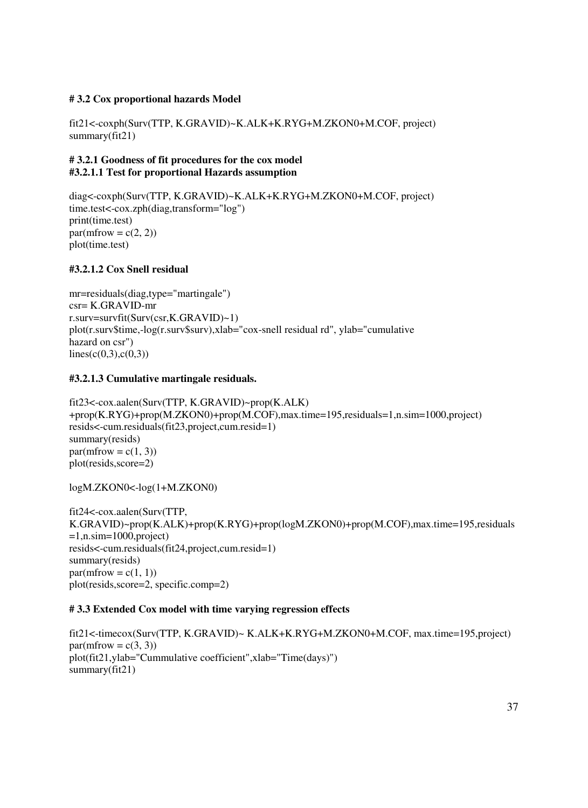#### **# 3.2 Cox proportional hazards Model**

fit21<-coxph(Surv(TTP, K.GRAVID)~K.ALK+K.RYG+M.ZKON0+M.COF, project)  $summary(fit21)$ 

#### **# 3.2.1 Goodness of fit procedures for the cox model #3.2.1.1 Test for proportional Hazards assumption**

diag<-coxph(Surv(TTP, K.GRAVID)~K.ALK+K.RYG+M.ZKON0+M.COF, project) time.test<-cox.zph(diag,transform="log") print(time.test)  $par(mfrow = c(2, 2))$ plot(time.test)

#### **#3.2.1.2 Cox Snell residual**

mr=residuals(diag,type="martingale")  $c$ sr= K.GRAVID-mr r.surv=survfit(Surv(csr,K.GRAVID)~1) plot(r.surv\$time,-log(r.surv\$surv),xlab="cox-snell residual rd", ylab="cumulative hazard on csr")  $lines(c(0,3),c(0,3))$ 

#### **#3.2.1.3 Cumulative martingale residuals.**

fit23<-cox.aalen(Surv(TTP, K.GRAVID)~prop(K.ALK) +prop(K.RYG)+prop(M.ZKON0)+prop(M.COF),max.time=195,residuals=1,n.sim=1000,project) resids<-cum.residuals(fit23,project,cum.resid=1) summary(resids)  $par(mfrow = c(1, 3))$ plot(resids,score=2)

logM.ZKON0<-log(1+M.ZKON0)

fit24<-cox.aalen(Surv(TTP, K.GRAVID)~prop(K.ALK)+prop(K.RYG)+prop(logM.ZKON0)+prop(M.COF),max.time=195,residuals  $=1$ ,n.sim $=1000$ ,project) resids<-cum.residuals(fit24,project,cum.resid=1) summary(resids)  $par(mfrow = c(1, 1))$ plot(resids,score=2, specific.comp=2)

#### **# 3.3 Extended Cox model with time varying regression effects**

fit21<-timecox(Surv(TTP, K.GRAVID)~ K.ALK+K.RYG+M.ZKON0+M.COF, max.time=195,project)  $par(mfrow = c(3, 3))$ plot(fit21,ylab="Cummulative coefficient",xlab="Time(days)") summary(fit21)